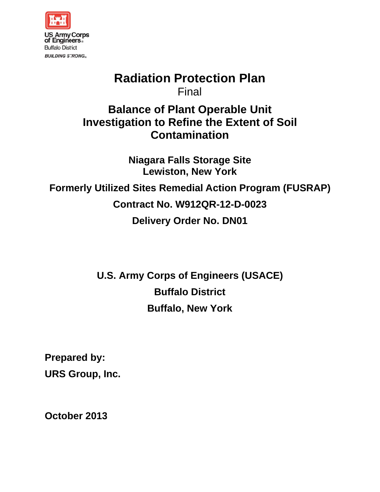

# **Radiation Protection Plan** Final

# **Balance of Plant Operable Unit Investigation to Refine the Extent of Soil** Contamination

**Niagara Falls Storage Site Lewiston, New York Formerly Utilized Sites Remedial Action Program (FUSRAP)** Contract No. W912QR-12-D-0023 **Delivery Order No. DN01** 

> **U.S. Army Corps of Engineers (USACE) Buffalo District Buffalo, New York**

**Prepared by: URS Group, Inc.** 

October 2013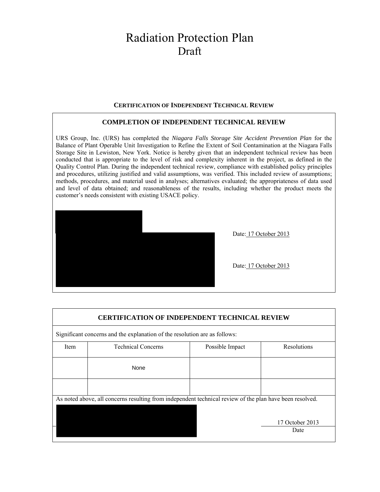# **Radiation Protection Plan** Draft

#### **CERTIFICATION OF INDEPENDENT TECHNICAL REVIEW**

#### **COMPLETION OF INDEPENDENT TECHNICAL REVIEW**

URS Group, Inc. (URS) has completed the Niagara Falls Storage Site Accident Prevention Plan for the Balance of Plant Operable Unit Investigation to Refine the Extent of Soil Contamination at the Niagara Falls Storage Site in Lewiston, New York. Notice is hereby given that an independent technical review has been conducted that is appropriate to the level of risk and complexity inherent in the project, as defined in the Quality Control Plan. During the independent technical review, compliance with established policy principles and procedures, utilizing justified and valid assumptions, was verified. This included review of assumptions; methods, procedures, and material used in analyses; alternatives evaluated; the appropriateness of data used and level of data obtained; and reasonableness of the results, including whether the product meets the customer's needs consistent with existing USACE policy.



Date: 17 October 2013

Date: 17 October 2013

|      | <b>CERTIFICATION OF INDEPENDENT TECHNICAL REVIEW</b>                                                     |                 |                         |
|------|----------------------------------------------------------------------------------------------------------|-----------------|-------------------------|
|      | Significant concerns and the explanation of the resolution are as follows:                               |                 |                         |
| Item | <b>Technical Concerns</b>                                                                                | Possible Impact | Resolutions             |
|      | None                                                                                                     |                 |                         |
|      |                                                                                                          |                 |                         |
|      | As noted above, all concerns resulting from independent technical review of the plan have been resolved. |                 |                         |
|      |                                                                                                          |                 | 17 October 2013<br>Date |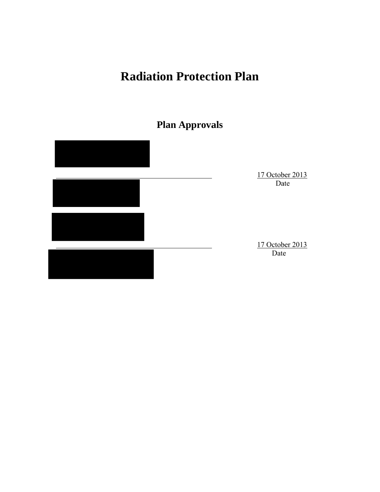# **Radiation Protection Plan**

# **Plan Approvals**

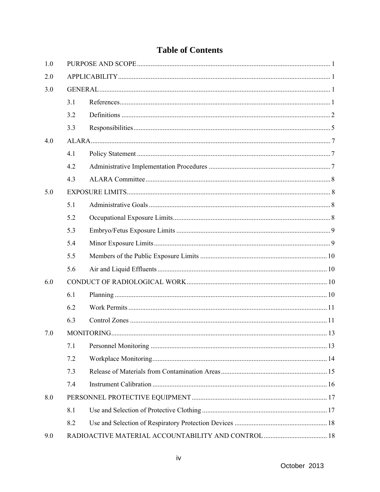## **Table of Contents**

| 1.0 |     |  |
|-----|-----|--|
| 2.0 |     |  |
| 3.0 |     |  |
|     | 3.1 |  |
|     | 3.2 |  |
|     | 3.3 |  |
| 4.0 |     |  |
|     | 4.1 |  |
|     | 4.2 |  |
|     | 4.3 |  |
| 5.0 |     |  |
|     | 5.1 |  |
|     | 5.2 |  |
|     | 5.3 |  |
|     | 5.4 |  |
|     | 5.5 |  |
|     | 5.6 |  |
| 6.0 |     |  |
|     | 6.1 |  |
|     | 6.2 |  |
|     | 6.3 |  |
| 7.0 |     |  |
|     | 7.1 |  |
|     | 7.2 |  |
|     | 7.3 |  |
|     | 7.4 |  |
| 8.0 |     |  |
|     | 8.1 |  |
|     | 8.2 |  |
| 9.0 |     |  |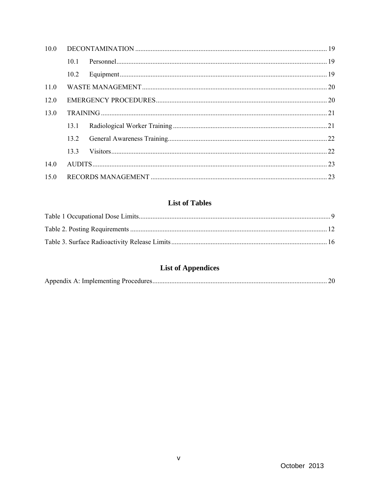| 10.0 |                |  |
|------|----------------|--|
|      | 10-1           |  |
|      | $10.2^{\circ}$ |  |
| 11.0 |                |  |
| 120  |                |  |
| 130  |                |  |
|      | 13.1           |  |
|      | 13.2           |  |
|      | 133            |  |
| 14.0 |                |  |
| 150  |                |  |

## **List of Tables**

## **List of Appendices**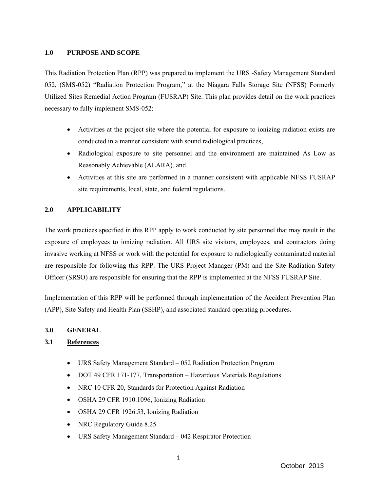#### **1.0 PURPOSE AND SCOPE**

This Radiation Protection Plan (RPP) was prepared to implement the URS -Safety Management Standard 052, (SMS-052) "Radiation Protection Program," at the Niagara Falls Storage Site (NFSS) Formerly Utilized Sites Remedial Action Program (FUSRAP) Site. This plan provides detail on the work practices necessary to fully implement SMS-052:

- Activities at the project site where the potential for exposure to ionizing radiation exists are conducted in a manner consistent with sound radiological practices,
- Radiological exposure to site personnel and the environment are maintained As Low as Reasonably Achievable (ALARA), and
- Activities at this site are performed in a manner consistent with applicable NFSS FUSRAP site requirements, local, state, and federal regulations.

### **2.0 APPLICABILITY**

The work practices specified in this RPP apply to work conducted by site personnel that may result in the exposure of employees to ionizing radiation. All URS site visitors, employees, and contractors doing invasive working at NFSS or work with the potential for exposure to radiologically contaminated material are responsible for following this RPP. The URS Project Manager (PM) and the Site Radiation Safety Officer (SRSO) are responsible for ensuring that the RPP is implemented at the NFSS FUSRAP Site.

Implementation of this RPP will be performed through implementation of the Accident Prevention Plan (APP), Site Safety and Health Plan (SSHP), and associated standard operating procedures.

### **3.0 GENERAL**

### **3.1 References**

- URS Safety Management Standard 052 Radiation Protection Program
- DOT 49 CFR 171-177, Transportation Hazardous Materials Regulations
- NRC 10 CFR 20, Standards for Protection Against Radiation
- OSHA 29 CFR 1910.1096, Ionizing Radiation
- OSHA 29 CFR 1926.53, Ionizing Radiation
- NRC Regulatory Guide 8.25
- URS Safety Management Standard 042 Respirator Protection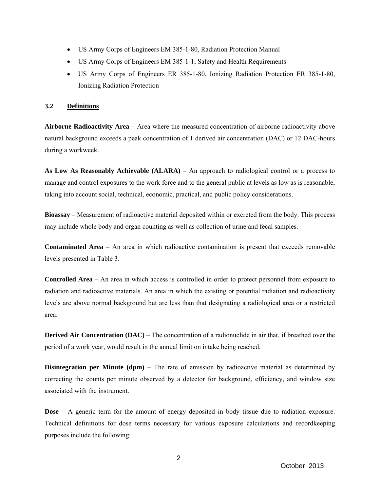- US Army Corps of Engineers EM 385-1-80, Radiation Protection Manual
- US Army Corps of Engineers EM 385-1-1, Safety and Health Requirements
- US Army Corps of Engineers ER 385-1-80, Ionizing Radiation Protection ER 385-1-80, Ionizing Radiation Protection

#### **3.2 Definitions**

**Airborne Radioactivity Area** – Area where the measured concentration of airborne radioactivity above natural background exceeds a peak concentration of 1 derived air concentration (DAC) or 12 DAC-hours during a workweek.

**As Low As Reasonably Achievable (ALARA)** – An approach to radiological control or a process to manage and control exposures to the work force and to the general public at levels as low as is reasonable, taking into account social, technical, economic, practical, and public policy considerations.

**Bioassay** – Measurement of radioactive material deposited within or excreted from the body. This process may include whole body and organ counting as well as collection of urine and fecal samples.

**Contaminated Area** – An area in which radioactive contamination is present that exceeds removable levels presented in Table 3.

**Controlled Area** – An area in which access is controlled in order to protect personnel from exposure to radiation and radioactive materials. An area in which the existing or potential radiation and radioactivity levels are above normal background but are less than that designating a radiological area or a restricted area.

**Derived Air Concentration (DAC)** – The concentration of a radionuclide in air that, if breathed over the period of a work year, would result in the annual limit on intake being reached.

**Disintegration per Minute (dpm)** – The rate of emission by radioactive material as determined by correcting the counts per minute observed by a detector for background, efficiency, and window size associated with the instrument.

**Dose** – A generic term for the amount of energy deposited in body tissue due to radiation exposure. Technical definitions for dose terms necessary for various exposure calculations and recordkeeping purposes include the following: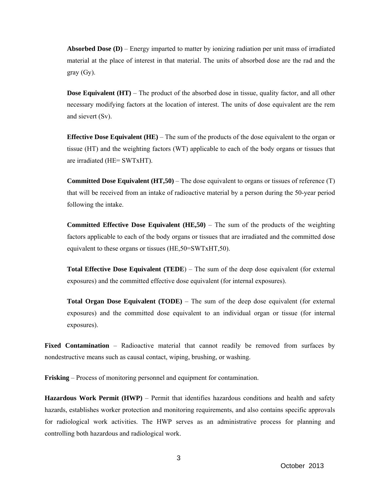**Absorbed Dose (D)** – Energy imparted to matter by ionizing radiation per unit mass of irradiated material at the place of interest in that material. The units of absorbed dose are the rad and the gray (Gy).

**Dose Equivalent (HT)** – The product of the absorbed dose in tissue, quality factor, and all other necessary modifying factors at the location of interest. The units of dose equivalent are the rem and sievert (Sv).

**Effective Dose Equivalent (HE)** – The sum of the products of the dose equivalent to the organ or tissue (HT) and the weighting factors (WT) applicable to each of the body organs or tissues that are irradiated (HE= SWTxHT).

**Committed Dose Equivalent (HT,50)** – The dose equivalent to organs or tissues of reference (T) that will be received from an intake of radioactive material by a person during the 50-year period following the intake.

**Committed Effective Dose Equivalent (HE,50)** – The sum of the products of the weighting factors applicable to each of the body organs or tissues that are irradiated and the committed dose equivalent to these organs or tissues (HE,50=SWTxHT,50).

**Total Effective Dose Equivalent (TEDE**) – The sum of the deep dose equivalent (for external exposures) and the committed effective dose equivalent (for internal exposures).

**Total Organ Dose Equivalent (TODE)** – The sum of the deep dose equivalent (for external exposures) and the committed dose equivalent to an individual organ or tissue (for internal exposures).

**Fixed Contamination** – Radioactive material that cannot readily be removed from surfaces by nondestructive means such as causal contact, wiping, brushing, or washing.

**Frisking** – Process of monitoring personnel and equipment for contamination.

**Hazardous Work Permit (HWP)** – Permit that identifies hazardous conditions and health and safety hazards, establishes worker protection and monitoring requirements, and also contains specific approvals for radiological work activities. The HWP serves as an administrative process for planning and controlling both hazardous and radiological work.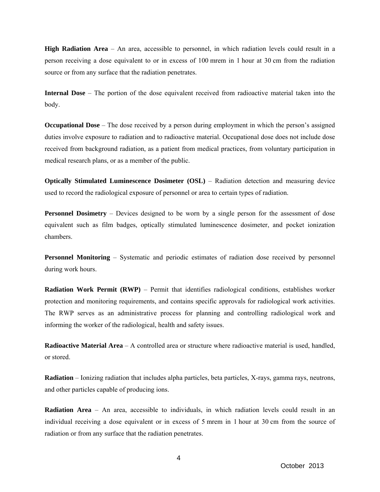**High Radiation Area** – An area, accessible to personnel, in which radiation levels could result in a person receiving a dose equivalent to or in excess of 100 mrem in 1 hour at 30 cm from the radiation source or from any surface that the radiation penetrates.

**Internal Dose** – The portion of the dose equivalent received from radioactive material taken into the body.

**Occupational Dose** – The dose received by a person during employment in which the person's assigned duties involve exposure to radiation and to radioactive material. Occupational dose does not include dose received from background radiation, as a patient from medical practices, from voluntary participation in medical research plans, or as a member of the public.

**Optically Stimulated Luminescence Dosimeter (OSL)** – Radiation detection and measuring device used to record the radiological exposure of personnel or area to certain types of radiation.

**Personnel Dosimetry** – Devices designed to be worn by a single person for the assessment of dose equivalent such as film badges, optically stimulated luminescence dosimeter, and pocket ionization chambers.

**Personnel Monitoring** – Systematic and periodic estimates of radiation dose received by personnel during work hours.

**Radiation Work Permit (RWP)** – Permit that identifies radiological conditions, establishes worker protection and monitoring requirements, and contains specific approvals for radiological work activities. The RWP serves as an administrative process for planning and controlling radiological work and informing the worker of the radiological, health and safety issues.

**Radioactive Material Area** – A controlled area or structure where radioactive material is used, handled, or stored.

**Radiation** – Ionizing radiation that includes alpha particles, beta particles, X-rays, gamma rays, neutrons, and other particles capable of producing ions.

**Radiation Area** – An area, accessible to individuals, in which radiation levels could result in an individual receiving a dose equivalent or in excess of 5 mrem in 1 hour at 30 cm from the source of radiation or from any surface that the radiation penetrates.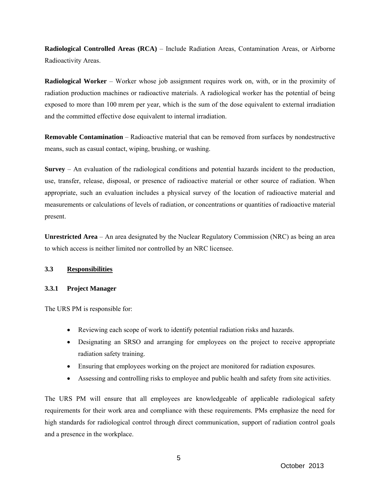**Radiological Controlled Areas (RCA)** – Include Radiation Areas, Contamination Areas, or Airborne Radioactivity Areas.

**Radiological Worker** – Worker whose job assignment requires work on, with, or in the proximity of radiation production machines or radioactive materials. A radiological worker has the potential of being exposed to more than 100 mrem per year, which is the sum of the dose equivalent to external irradiation and the committed effective dose equivalent to internal irradiation.

**Removable Contamination** – Radioactive material that can be removed from surfaces by nondestructive means, such as casual contact, wiping, brushing, or washing.

**Survey** – An evaluation of the radiological conditions and potential hazards incident to the production, use, transfer, release, disposal, or presence of radioactive material or other source of radiation. When appropriate, such an evaluation includes a physical survey of the location of radioactive material and measurements or calculations of levels of radiation, or concentrations or quantities of radioactive material present.

**Unrestricted Area** – An area designated by the Nuclear Regulatory Commission (NRC) as being an area to which access is neither limited nor controlled by an NRC licensee.

#### **3.3 Responsibilities**

#### **3.3.1 Project Manager**

The URS PM is responsible for:

- Reviewing each scope of work to identify potential radiation risks and hazards.
- Designating an SRSO and arranging for employees on the project to receive appropriate radiation safety training.
- Ensuring that employees working on the project are monitored for radiation exposures.
- Assessing and controlling risks to employee and public health and safety from site activities.

The URS PM will ensure that all employees are knowledgeable of applicable radiological safety requirements for their work area and compliance with these requirements. PMs emphasize the need for high standards for radiological control through direct communication, support of radiation control goals and a presence in the workplace.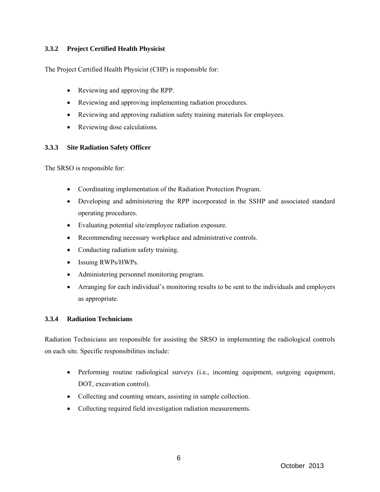### **3.3.2 Project Certified Health Physicist**

The Project Certified Health Physicist (CHP) is responsible for:

- Reviewing and approving the RPP.
- Reviewing and approving implementing radiation procedures.
- Reviewing and approving radiation safety training materials for employees.
- Reviewing dose calculations.

#### **3.3.3 Site Radiation Safety Officer**

The SRSO is responsible for:

- Coordinating implementation of the Radiation Protection Program.
- Developing and administering the RPP incorporated in the SSHP and associated standard operating procedures.
- Evaluating potential site/employee radiation exposure.
- Recommending necessary workplace and administrative controls.
- Conducting radiation safety training.
- Issuing RWPs/HWPs.
- Administering personnel monitoring program.
- Arranging for each individual's monitoring results to be sent to the individuals and employers as appropriate.

#### **3.3.4 Radiation Technicians**

Radiation Technicians are responsible for assisting the SRSO in implementing the radiological controls on each site. Specific responsibilities include:

- Performing routine radiological surveys (i.e., incoming equipment, outgoing equipment, DOT, excavation control).
- Collecting and counting smears, assisting in sample collection.
- Collecting required field investigation radiation measurements.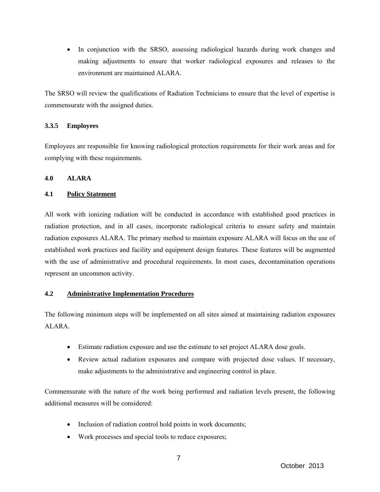• In conjunction with the SRSO, assessing radiological hazards during work changes and making adjustments to ensure that worker radiological exposures and releases to the environment are maintained ALARA.

The SRSO will review the qualifications of Radiation Technicians to ensure that the level of expertise is commensurate with the assigned duties.

### **3.3.5 Employees**

Employees are responsible for knowing radiological protection requirements for their work areas and for complying with these requirements.

#### **4.0 ALARA**

#### **4.1 Policy Statement**

All work with ionizing radiation will be conducted in accordance with established good practices in radiation protection, and in all cases, incorporate radiological criteria to ensure safety and maintain radiation exposures ALARA. The primary method to maintain exposure ALARA will focus on the use of established work practices and facility and equipment design features. These features will be augmented with the use of administrative and procedural requirements. In most cases, decontamination operations represent an uncommon activity.

### **4.2 Administrative Implementation Procedures**

The following minimum steps will be implemented on all sites aimed at maintaining radiation exposures ALARA.

- Estimate radiation exposure and use the estimate to set project ALARA dose goals.
- Review actual radiation exposures and compare with projected dose values. If necessary, make adjustments to the administrative and engineering control in place.

Commensurate with the nature of the work being performed and radiation levels present, the following additional measures will be considered:

- Inclusion of radiation control hold points in work documents;
- Work processes and special tools to reduce exposures;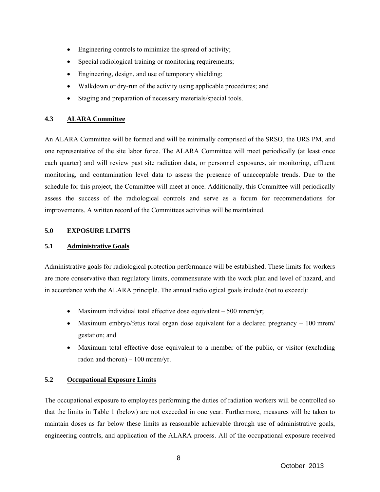- Engineering controls to minimize the spread of activity;
- Special radiological training or monitoring requirements;
- Engineering, design, and use of temporary shielding;
- Walkdown or dry-run of the activity using applicable procedures; and
- Staging and preparation of necessary materials/special tools.

#### **4.3 ALARA Committee**

An ALARA Committee will be formed and will be minimally comprised of the SRSO, the URS PM, and one representative of the site labor force. The ALARA Committee will meet periodically (at least once each quarter) and will review past site radiation data, or personnel exposures, air monitoring, effluent monitoring, and contamination level data to assess the presence of unacceptable trends. Due to the schedule for this project, the Committee will meet at once. Additionally, this Committee will periodically assess the success of the radiological controls and serve as a forum for recommendations for improvements. A written record of the Committees activities will be maintained.

#### **5.0 EXPOSURE LIMITS**

#### **5.1 Administrative Goals**

Administrative goals for radiological protection performance will be established. These limits for workers are more conservative than regulatory limits, commensurate with the work plan and level of hazard, and in accordance with the ALARA principle. The annual radiological goals include (not to exceed):

- Maximum individual total effective dose equivalent  $-500$  mrem/yr;
- Maximum embryo/fetus total organ dose equivalent for a declared pregnancy  $-100$  mrem/ gestation; and
- Maximum total effective dose equivalent to a member of the public, or visitor (excluding radon and thoron)  $-100$  mrem/yr.

#### **5.2 Occupational Exposure Limits**

The occupational exposure to employees performing the duties of radiation workers will be controlled so that the limits in Table 1 (below) are not exceeded in one year. Furthermore, measures will be taken to maintain doses as far below these limits as reasonable achievable through use of administrative goals, engineering controls, and application of the ALARA process. All of the occupational exposure received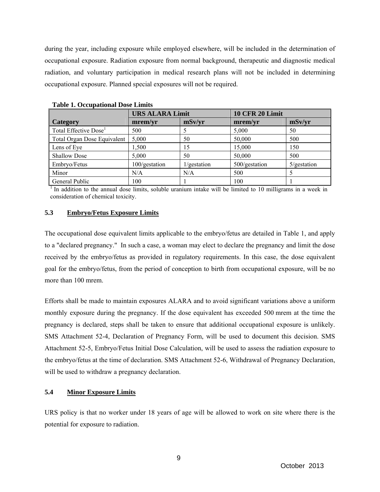during the year, including exposure while employed elsewhere, will be included in the determination of occupational exposure. Radiation exposure from normal background, therapeutic and diagnostic medical radiation, and voluntary participation in medical research plans will not be included in determining occupational exposure. Planned special exposures will not be required.

|                                   | <b>URS ALARA Limit</b> |             | <b>10 CFR 20 Limit</b> |             |  |
|-----------------------------------|------------------------|-------------|------------------------|-------------|--|
| <b>Category</b>                   | mrem/yr                | mSv/yr      | mrem/yr                | mSv/yr      |  |
| Total Effective Dose <sup>1</sup> | 500                    |             | 5,000                  | 50          |  |
| Total Organ Dose Equivalent       | 5,000                  | 50          | 50,000                 | 500         |  |
| Lens of Eye                       | 1,500                  | 15          | 15,000                 | 150         |  |
| <b>Shallow Dose</b>               | 5,000                  | 50          | 50,000                 | 500         |  |
| Embryo/Fetus                      | 100/gestation          | 1/gestation | 500/gestation          | 5/gestation |  |
| Minor                             | N/A                    | N/A         | 500                    |             |  |
| General Public                    | 100                    |             | 100                    |             |  |

|  |  | <b>Table 1. Occupational Dose Limits</b> |
|--|--|------------------------------------------|
|--|--|------------------------------------------|

<sup>1</sup> In addition to the annual dose limits, soluble uranium intake will be limited to 10 milligrams in a week in consideration of chemical toxicity.

#### **5.3 Embryo/Fetus Exposure Limits**

The occupational dose equivalent limits applicable to the embryo/fetus are detailed in Table 1, and apply to a "declared pregnancy." In such a case, a woman may elect to declare the pregnancy and limit the dose received by the embryo/fetus as provided in regulatory requirements. In this case, the dose equivalent goal for the embryo/fetus, from the period of conception to birth from occupational exposure, will be no more than 100 mrem.

Efforts shall be made to maintain exposures ALARA and to avoid significant variations above a uniform monthly exposure during the pregnancy. If the dose equivalent has exceeded 500 mrem at the time the pregnancy is declared, steps shall be taken to ensure that additional occupational exposure is unlikely. SMS Attachment 52-4, Declaration of Pregnancy Form, will be used to document this decision. SMS Attachment 52-5, Embryo/Fetus Initial Dose Calculation, will be used to assess the radiation exposure to the embryo/fetus at the time of declaration. SMS Attachment 52-6, Withdrawal of Pregnancy Declaration, will be used to withdraw a pregnancy declaration.

#### **5.4 Minor Exposure Limits**

URS policy is that no worker under 18 years of age will be allowed to work on site where there is the potential for exposure to radiation.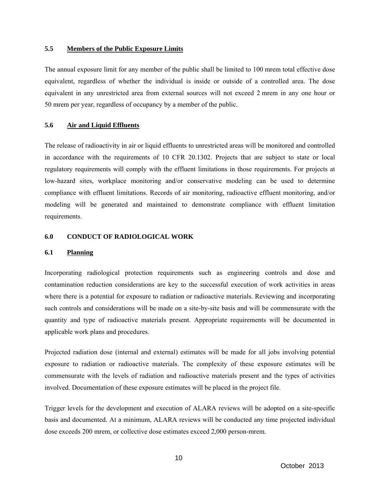#### **5.5 Members of the Public Exposure Limits**

The annual exposure limit for any member of the public shall be limited to 100 mrem total effective dose equivalent, regardless of whether the individual is inside or outside of a controlled area. The dose equivalent in any unrestricted area from external sources will not exceed 2 mrem in any one hour or 50 mrem per year, regardless of occupancy by a member of the public.

#### **5.6 Air and Liquid Effluents**

The release of radioactivity in air or liquid effluents to unrestricted areas will be monitored and controlled in accordance with the requirements of 10 CFR 20.1302. Projects that are subject to state or local regulatory requirements will comply with the effluent limitations in those requirements. For projects at low-hazard sites, workplace monitoring and/or conservative modeling can be used to determine compliance with effluent limitations. Records of air monitoring, radioactive effluent monitoring, and/or modeling will be generated and maintained to demonstrate compliance with effluent limitation requirements.

#### **6.0 CONDUCT OF RADIOLOGICAL WORK**

#### **6.1 Planning**

Incorporating radiological protection requirements such as engineering controls and dose and contamination reduction considerations are key to the successful execution of work activities in areas where there is a potential for exposure to radiation or radioactive materials. Reviewing and incorporating such controls and considerations will be made on a site-by-site basis and will be commensurate with the quantity and type of radioactive materials present. Appropriate requirements will be documented in applicable work plans and procedures.

Projected radiation dose (internal and external) estimates will be made for all jobs involving potential exposure to radiation or radioactive materials. The complexity of these exposure estimates will be commensurate with the levels of radiation and radioactive materials present and the types of activities involved. Documentation of these exposure estimates will be placed in the project file.

Trigger levels for the development and execution of ALARA reviews will be adopted on a site-specific basis and documented. At a minimum, ALARA reviews will be conducted any time projected individual dose exceeds 200 mrem, or collective dose estimates exceed 2,000 person-mrem.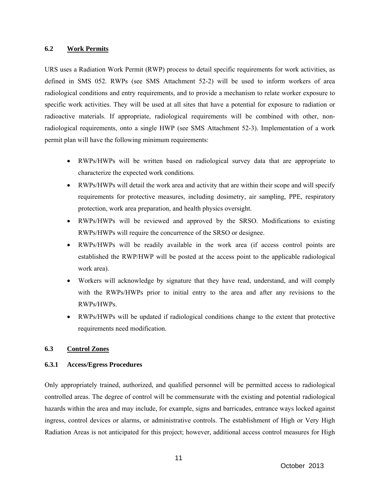#### **6.2 Work Permits**

URS uses a Radiation Work Permit (RWP) process to detail specific requirements for work activities, as defined in SMS 052. RWPs (see SMS Attachment 52-2) will be used to inform workers of area radiological conditions and entry requirements, and to provide a mechanism to relate worker exposure to specific work activities. They will be used at all sites that have a potential for exposure to radiation or radioactive materials. If appropriate, radiological requirements will be combined with other, nonradiological requirements, onto a single HWP (see SMS Attachment 52-3). Implementation of a work permit plan will have the following minimum requirements:

- RWPs/HWPs will be written based on radiological survey data that are appropriate to characterize the expected work conditions.
- RWPs/HWPs will detail the work area and activity that are within their scope and will specify requirements for protective measures, including dosimetry, air sampling, PPE, respiratory protection, work area preparation, and health physics oversight.
- RWPs/HWPs will be reviewed and approved by the SRSO. Modifications to existing RWPs/HWPs will require the concurrence of the SRSO or designee.
- RWPs/HWPs will be readily available in the work area (if access control points are established the RWP/HWP will be posted at the access point to the applicable radiological work area).
- Workers will acknowledge by signature that they have read, understand, and will comply with the RWPs/HWPs prior to initial entry to the area and after any revisions to the RWPs/HWPs.
- RWPs/HWPs will be updated if radiological conditions change to the extent that protective requirements need modification.

#### **6.3 Control Zones**

#### **6.3.1 Access/Egress Procedures**

Only appropriately trained, authorized, and qualified personnel will be permitted access to radiological controlled areas. The degree of control will be commensurate with the existing and potential radiological hazards within the area and may include, for example, signs and barricades, entrance ways locked against ingress, control devices or alarms, or administrative controls. The establishment of High or Very High Radiation Areas is not anticipated for this project; however, additional access control measures for High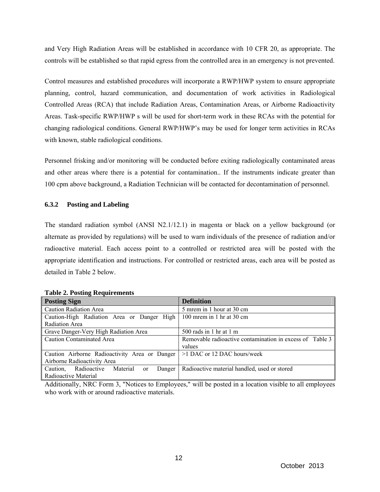and Very High Radiation Areas will be established in accordance with 10 CFR 20, as appropriate. The controls will be established so that rapid egress from the controlled area in an emergency is not prevented.

Control measures and established procedures will incorporate a RWP/HWP system to ensure appropriate planning, control, hazard communication, and documentation of work activities in Radiological Controlled Areas (RCA) that include Radiation Areas, Contamination Areas, or Airborne Radioactivity Areas. Task-specific RWP/HWP s will be used for short-term work in these RCAs with the potential for changing radiological conditions. General RWP/HWP's may be used for longer term activities in RCAs with known, stable radiological conditions.

Personnel frisking and/or monitoring will be conducted before exiting radiologically contaminated areas and other areas where there is a potential for contamination.. If the instruments indicate greater than 100 cpm above background, a Radiation Technician will be contacted for decontamination of personnel.

#### **6.3.2 Posting and Labeling**

The standard radiation symbol (ANSI N2.1/12.1) in magenta or black on a yellow background (or alternate as provided by regulations) will be used to warn individuals of the presence of radiation and/or radioactive material. Each access point to a controlled or restricted area will be posted with the appropriate identification and instructions. For controlled or restricted areas, each area will be posted as detailed in Table 2 below.

| <b>Posting Sign</b>                                            | <b>Definition</b>                                        |  |  |
|----------------------------------------------------------------|----------------------------------------------------------|--|--|
| <b>Caution Radiation Area</b>                                  | 5 mrem in 1 hour at 30 cm                                |  |  |
| Caution-High Radiation Area or Danger High                     | 100 mrem in 1 hr at 30 cm                                |  |  |
| Radiation Area                                                 |                                                          |  |  |
| Grave Danger-Very High Radiation Area                          | 500 rads in 1 hr at 1 m                                  |  |  |
| <b>Caution Contaminated Area</b>                               | Removable radioactive contamination in excess of Table 3 |  |  |
|                                                                | values                                                   |  |  |
| Caution Airborne Radioactivity Area or Danger                  | $>1$ DAC or 12 DAC hours/week                            |  |  |
| Airborne Radioactivity Area                                    |                                                          |  |  |
| Caution,<br>Radioactive<br>Material<br>Danger<br><sub>or</sub> | Radioactive material handled, used or stored             |  |  |
| Radioactive Material                                           |                                                          |  |  |

#### **Table 2. Posting Requirements**

Additionally, NRC Form 3, "Notices to Employees," will be posted in a location visible to all employees who work with or around radioactive materials.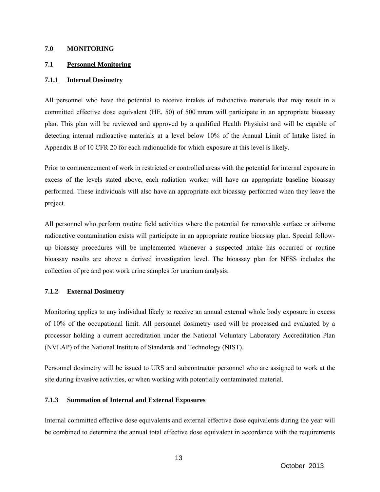#### **7.0 MONITORING**

#### **7.1 Personnel Monitoring**

#### **7.1.1 Internal Dosimetry**

All personnel who have the potential to receive intakes of radioactive materials that may result in a committed effective dose equivalent (HE, 50) of 500 mrem will participate in an appropriate bioassay plan. This plan will be reviewed and approved by a qualified Health Physicist and will be capable of detecting internal radioactive materials at a level below 10% of the Annual Limit of Intake listed in Appendix B of 10 CFR 20 for each radionuclide for which exposure at this level is likely.

Prior to commencement of work in restricted or controlled areas with the potential for internal exposure in excess of the levels stated above, each radiation worker will have an appropriate baseline bioassay performed. These individuals will also have an appropriate exit bioassay performed when they leave the project.

All personnel who perform routine field activities where the potential for removable surface or airborne radioactive contamination exists will participate in an appropriate routine bioassay plan. Special followup bioassay procedures will be implemented whenever a suspected intake has occurred or routine bioassay results are above a derived investigation level. The bioassay plan for NFSS includes the collection of pre and post work urine samples for uranium analysis.

#### **7.1.2 External Dosimetry**

Monitoring applies to any individual likely to receive an annual external whole body exposure in excess of 10% of the occupational limit. All personnel dosimetry used will be processed and evaluated by a processor holding a current accreditation under the National Voluntary Laboratory Accreditation Plan (NVLAP) of the National Institute of Standards and Technology (NIST).

Personnel dosimetry will be issued to URS and subcontractor personnel who are assigned to work at the site during invasive activities, or when working with potentially contaminated material.

#### **7.1.3 Summation of Internal and External Exposures**

Internal committed effective dose equivalents and external effective dose equivalents during the year will be combined to determine the annual total effective dose equivalent in accordance with the requirements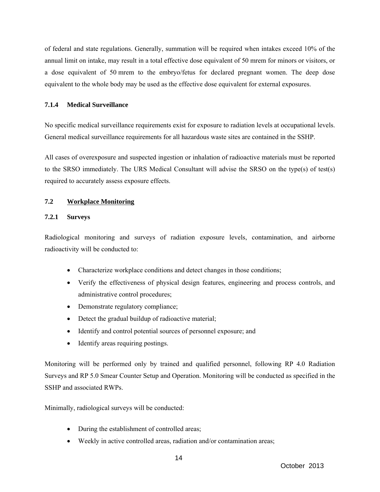of federal and state regulations. Generally, summation will be required when intakes exceed 10% of the annual limit on intake, may result in a total effective dose equivalent of 50 mrem for minors or visitors, or a dose equivalent of 50 mrem to the embryo/fetus for declared pregnant women. The deep dose equivalent to the whole body may be used as the effective dose equivalent for external exposures.

#### **7.1.4 Medical Surveillance**

No specific medical surveillance requirements exist for exposure to radiation levels at occupational levels. General medical surveillance requirements for all hazardous waste sites are contained in the SSHP.

All cases of overexposure and suspected ingestion or inhalation of radioactive materials must be reported to the SRSO immediately. The URS Medical Consultant will advise the SRSO on the type(s) of test(s) required to accurately assess exposure effects.

#### **7.2 Workplace Monitoring**

#### **7.2.1 Surveys**

Radiological monitoring and surveys of radiation exposure levels, contamination, and airborne radioactivity will be conducted to:

- Characterize workplace conditions and detect changes in those conditions;
- Verify the effectiveness of physical design features, engineering and process controls, and administrative control procedures;
- Demonstrate regulatory compliance;
- Detect the gradual buildup of radioactive material;
- Identify and control potential sources of personnel exposure; and
- Identify areas requiring postings.

Monitoring will be performed only by trained and qualified personnel, following RP 4.0 Radiation Surveys and RP 5.0 Smear Counter Setup and Operation. Monitoring will be conducted as specified in the SSHP and associated RWPs.

Minimally, radiological surveys will be conducted:

- During the establishment of controlled areas;
- Weekly in active controlled areas, radiation and/or contamination areas;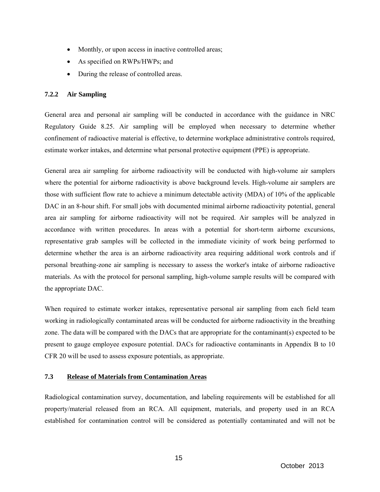- Monthly, or upon access in inactive controlled areas;
- As specified on RWPs/HWPs; and
- During the release of controlled areas.

#### **7.2.2 Air Sampling**

General area and personal air sampling will be conducted in accordance with the guidance in NRC Regulatory Guide 8.25. Air sampling will be employed when necessary to determine whether confinement of radioactive material is effective, to determine workplace administrative controls required, estimate worker intakes, and determine what personal protective equipment (PPE) is appropriate.

General area air sampling for airborne radioactivity will be conducted with high-volume air samplers where the potential for airborne radioactivity is above background levels. High-volume air samplers are those with sufficient flow rate to achieve a minimum detectable activity (MDA) of 10% of the applicable DAC in an 8-hour shift. For small jobs with documented minimal airborne radioactivity potential, general area air sampling for airborne radioactivity will not be required. Air samples will be analyzed in accordance with written procedures. In areas with a potential for short-term airborne excursions, representative grab samples will be collected in the immediate vicinity of work being performed to determine whether the area is an airborne radioactivity area requiring additional work controls and if personal breathing-zone air sampling is necessary to assess the worker's intake of airborne radioactive materials. As with the protocol for personal sampling, high-volume sample results will be compared with the appropriate DAC.

When required to estimate worker intakes, representative personal air sampling from each field team working in radiologically contaminated areas will be conducted for airborne radioactivity in the breathing zone. The data will be compared with the DACs that are appropriate for the contaminant(s) expected to be present to gauge employee exposure potential. DACs for radioactive contaminants in Appendix B to 10 CFR 20 will be used to assess exposure potentials, as appropriate.

#### **7.3 Release of Materials from Contamination Areas**

Radiological contamination survey, documentation, and labeling requirements will be established for all property/material released from an RCA. All equipment, materials, and property used in an RCA established for contamination control will be considered as potentially contaminated and will not be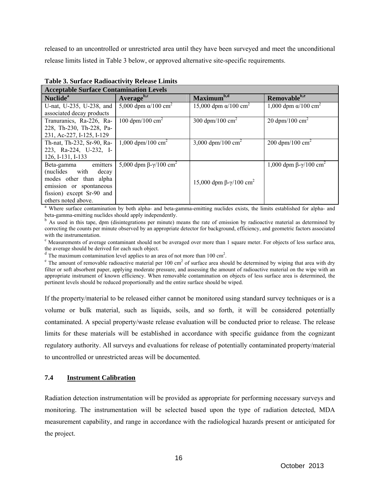released to an uncontrolled or unrestricted area until they have been surveyed and meet the unconditional release limits listed in Table 3 below, or approved alternative site-specific requirements.

| <b>Acceptable Surface Contamination Levels</b> |                                                  |                                          |                                        |  |  |  |
|------------------------------------------------|--------------------------------------------------|------------------------------------------|----------------------------------------|--|--|--|
| Nuclide <sup>a</sup>                           | $Average^{b,c}$                                  | Maximum <sup>b,d</sup>                   | Removable <sup>b,e</sup>               |  |  |  |
| U-nat, U-235, U-238, and                       | 5,000 dpm $\alpha/100 \text{ cm}^2$              | 15,000 dpm $\alpha$ /100 cm <sup>2</sup> | 1,000 dpm $\alpha/100$ cm <sup>2</sup> |  |  |  |
| associated decay products                      |                                                  |                                          |                                        |  |  |  |
| Tranuranics, Ra-226, Ra-                       | 100 dpm/100 $\text{cm}^2$                        | 300 dpm/100 $\text{cm}^2$                | 20 dpm/100 $\text{cm}^2$               |  |  |  |
| 228, Th-230, Th-228, Pa-                       |                                                  |                                          |                                        |  |  |  |
| 231, Ac-227, I-125, I-129                      |                                                  |                                          |                                        |  |  |  |
| Th-nat, Th-232, Sr-90, Ra-                     | 1,000 dpm/100 cm <sup>2</sup>                    | 3,000 dpm/100 cm <sup>2</sup>            | 200 dpm/100 $\text{cm}^2$              |  |  |  |
| 223, Ra-224, U-232, I-                         |                                                  |                                          |                                        |  |  |  |
| 126, I-131, I-133                              |                                                  |                                          |                                        |  |  |  |
| emitters<br>Beta-gamma                         | 5,000 dpm $\beta - \gamma / 100$ cm <sup>2</sup> |                                          | 1,000 dpm β-γ/100 cm <sup>2</sup>      |  |  |  |
| (nuclides with decay                           |                                                  |                                          |                                        |  |  |  |
| modes other than alpha                         |                                                  | 15,000 dpm β-γ/100 cm <sup>2</sup>       |                                        |  |  |  |
| emission or spontaneous                        |                                                  |                                          |                                        |  |  |  |
| fission) except Sr-90 and                      |                                                  |                                          |                                        |  |  |  |
| others noted above.                            |                                                  |                                          |                                        |  |  |  |

**Table 3. Surface Radioactivity Release Limits** 

<sup>a</sup> Where surface contamination by both alpha- and beta-gamma-emitting nuclides exists, the limits established for alpha- and beta-gamma-emitting nuclides should apply independently.

<sup>b</sup> As used in this tape, dpm (disintegrations per minute) means the rate of emission by radioactive material as determined by correcting the counts per minute observed by an appropriate detector for background, efficiency, and geometric factors associated with the instrumentation.

 $\degree$  Measurements of average contaminant should not be averaged over more than 1 square meter. For objects of less surface area, the average should be derived for each such object.

 $d$  The maximum contamination level applies to an area of not more than 100 cm<sup>2</sup>.

<sup>a</sup> The maximum contamination level applies to an area of not more than 100 cm<sup>2</sup>.<br><sup>e</sup> The amount of removable radioactive material per 100 cm<sup>2</sup> of surface area should be determined by wiping that area with dry filter or soft absorbent paper, applying moderate pressure, and assessing the amount of radioactive material on the wipe with an appropriate instrument of known efficiency. When removable contamination on objects of less surface area is determined, the pertinent levels should be reduced proportionally and the entire surface should be wiped.

If the property/material to be released either cannot be monitored using standard survey techniques or is a volume or bulk material, such as liquids, soils, and so forth, it will be considered potentially contaminated. A special property/waste release evaluation will be conducted prior to release. The release limits for these materials will be established in accordance with specific guidance from the cognizant regulatory authority. All surveys and evaluations for release of potentially contaminated property/material to uncontrolled or unrestricted areas will be documented.

#### **7.4 Instrument Calibration**

Radiation detection instrumentation will be provided as appropriate for performing necessary surveys and monitoring. The instrumentation will be selected based upon the type of radiation detected, MDA measurement capability, and range in accordance with the radiological hazards present or anticipated for the project.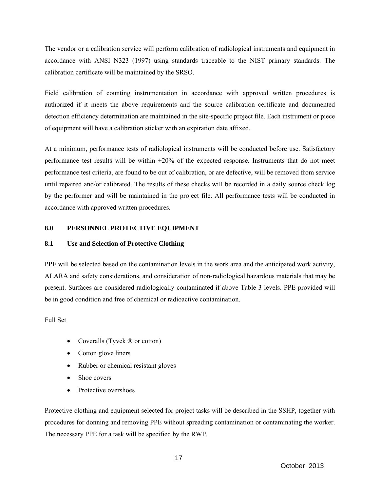The vendor or a calibration service will perform calibration of radiological instruments and equipment in accordance with ANSI N323 (1997) using standards traceable to the NIST primary standards. The calibration certificate will be maintained by the SRSO.

Field calibration of counting instrumentation in accordance with approved written procedures is authorized if it meets the above requirements and the source calibration certificate and documented detection efficiency determination are maintained in the site-specific project file. Each instrument or piece of equipment will have a calibration sticker with an expiration date affixed.

At a minimum, performance tests of radiological instruments will be conducted before use. Satisfactory performance test results will be within  $\pm 20\%$  of the expected response. Instruments that do not meet performance test criteria, are found to be out of calibration, or are defective, will be removed from service until repaired and/or calibrated. The results of these checks will be recorded in a daily source check log by the performer and will be maintained in the project file. All performance tests will be conducted in accordance with approved written procedures.

#### **8.0 PERSONNEL PROTECTIVE EQUIPMENT**

#### **8.1 Use and Selection of Protective Clothing**

PPE will be selected based on the contamination levels in the work area and the anticipated work activity, ALARA and safety considerations, and consideration of non-radiological hazardous materials that may be present. Surfaces are considered radiologically contaminated if above Table 3 levels. PPE provided will be in good condition and free of chemical or radioactive contamination.

Full Set

- Coveralls (Tyvek ® or cotton)
- Cotton glove liners
- Rubber or chemical resistant gloves
- Shoe covers
- Protective overshoes

Protective clothing and equipment selected for project tasks will be described in the SSHP, together with procedures for donning and removing PPE without spreading contamination or contaminating the worker. The necessary PPE for a task will be specified by the RWP.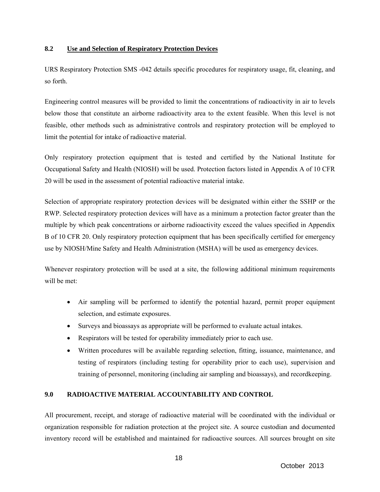#### **8.2 Use and Selection of Respiratory Protection Devices**

URS Respiratory Protection SMS -042 details specific procedures for respiratory usage, fit, cleaning, and so forth.

Engineering control measures will be provided to limit the concentrations of radioactivity in air to levels below those that constitute an airborne radioactivity area to the extent feasible. When this level is not feasible, other methods such as administrative controls and respiratory protection will be employed to limit the potential for intake of radioactive material.

Only respiratory protection equipment that is tested and certified by the National Institute for Occupational Safety and Health (NIOSH) will be used. Protection factors listed in Appendix A of 10 CFR 20 will be used in the assessment of potential radioactive material intake.

Selection of appropriate respiratory protection devices will be designated within either the SSHP or the RWP. Selected respiratory protection devices will have as a minimum a protection factor greater than the multiple by which peak concentrations or airborne radioactivity exceed the values specified in Appendix B of 10 CFR 20. Only respiratory protection equipment that has been specifically certified for emergency use by NIOSH/Mine Safety and Health Administration (MSHA) will be used as emergency devices.

Whenever respiratory protection will be used at a site, the following additional minimum requirements will be met:

- Air sampling will be performed to identify the potential hazard, permit proper equipment selection, and estimate exposures.
- Surveys and bioassays as appropriate will be performed to evaluate actual intakes.
- Respirators will be tested for operability immediately prior to each use.
- Written procedures will be available regarding selection, fitting, issuance, maintenance, and testing of respirators (including testing for operability prior to each use), supervision and training of personnel, monitoring (including air sampling and bioassays), and recordkeeping.

### **9.0 RADIOACTIVE MATERIAL ACCOUNTABILITY AND CONTROL**

All procurement, receipt, and storage of radioactive material will be coordinated with the individual or organization responsible for radiation protection at the project site. A source custodian and documented inventory record will be established and maintained for radioactive sources. All sources brought on site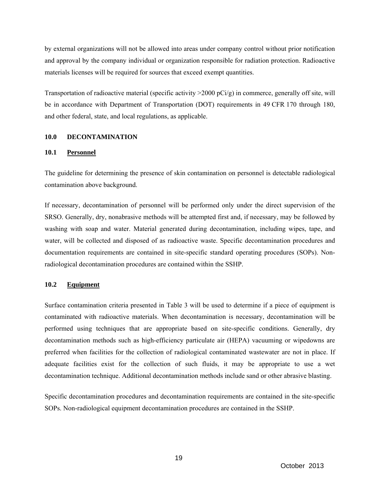by external organizations will not be allowed into areas under company control without prior notification and approval by the company individual or organization responsible for radiation protection. Radioactive materials licenses will be required for sources that exceed exempt quantities.

Transportation of radioactive material (specific activity  $>2000$  pCi/g) in commerce, generally off site, will be in accordance with Department of Transportation (DOT) requirements in 49 CFR 170 through 180, and other federal, state, and local regulations, as applicable.

#### **10.0 DECONTAMINATION**

#### **10.1 Personnel**

The guideline for determining the presence of skin contamination on personnel is detectable radiological contamination above background.

If necessary, decontamination of personnel will be performed only under the direct supervision of the SRSO. Generally, dry, nonabrasive methods will be attempted first and, if necessary, may be followed by washing with soap and water. Material generated during decontamination, including wipes, tape, and water, will be collected and disposed of as radioactive waste. Specific decontamination procedures and documentation requirements are contained in site-specific standard operating procedures (SOPs). Nonradiological decontamination procedures are contained within the SSHP.

#### **10.2 Equipment**

Surface contamination criteria presented in Table 3 will be used to determine if a piece of equipment is contaminated with radioactive materials. When decontamination is necessary, decontamination will be performed using techniques that are appropriate based on site-specific conditions. Generally, dry decontamination methods such as high-efficiency particulate air (HEPA) vacuuming or wipedowns are preferred when facilities for the collection of radiological contaminated wastewater are not in place. If adequate facilities exist for the collection of such fluids, it may be appropriate to use a wet decontamination technique. Additional decontamination methods include sand or other abrasive blasting.

Specific decontamination procedures and decontamination requirements are contained in the site-specific SOPs. Non-radiological equipment decontamination procedures are contained in the SSHP.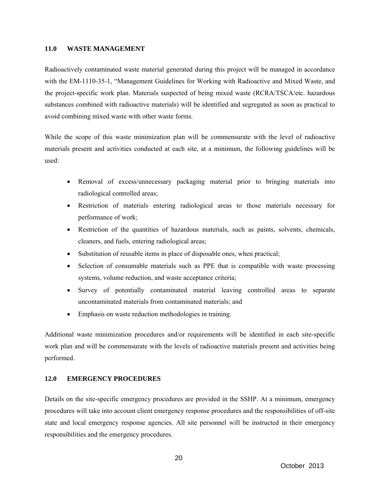#### **11.0 WASTE MANAGEMENT**

Radioactively contaminated waste material generated during this project will be managed in accordance with the EM-1110-35-1, "Management Guidelines for Working with Radioactive and Mixed Waste, and the project-specific work plan. Materials suspected of being mixed waste (RCRA/TSCA/etc. hazardous substances combined with radioactive materials) will be identified and segregated as soon as practical to avoid combining mixed waste with other waste forms.

While the scope of this waste minimization plan will be commensurate with the level of radioactive materials present and activities conducted at each site, at a minimum, the following guidelines will be used:

- Removal of excess/unnecessary packaging material prior to bringing materials into radiological controlled areas;
- Restriction of materials entering radiological areas to those materials necessary for performance of work;
- Restriction of the quantities of hazardous materials, such as paints, solvents, chemicals, cleaners, and fuels, entering radiological areas;
- Substitution of reusable items in place of disposable ones, when practical;
- Selection of consumable materials such as PPE that is compatible with waste processing systems, volume reduction, and waste acceptance criteria;
- Survey of potentially contaminated material leaving controlled areas to separate uncontaminated materials from contaminated materials; and
- Emphasis on waste reduction methodologies in training.

Additional waste minimization procedures and/or requirements will be identified in each site-specific work plan and will be commensurate with the levels of radioactive materials present and activities being performed.

#### **12.0 EMERGENCY PROCEDURES**

Details on the site-specific emergency procedures are provided in the SSHP. At a minimum, emergency procedures will take into account client emergency response procedures and the responsibilities of off-site state and local emergency response agencies. All site personnel will be instructed in their emergency responsibilities and the emergency procedures.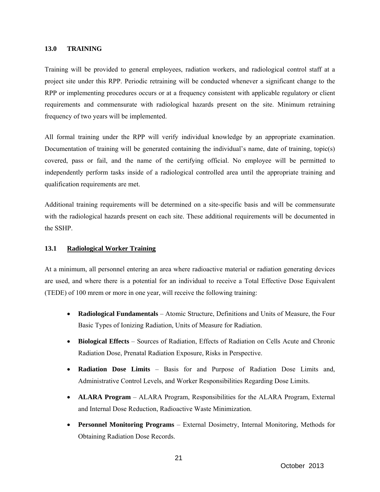#### **13.0 TRAINING**

Training will be provided to general employees, radiation workers, and radiological control staff at a project site under this RPP. Periodic retraining will be conducted whenever a significant change to the RPP or implementing procedures occurs or at a frequency consistent with applicable regulatory or client requirements and commensurate with radiological hazards present on the site. Minimum retraining frequency of two years will be implemented.

All formal training under the RPP will verify individual knowledge by an appropriate examination. Documentation of training will be generated containing the individual's name, date of training, topic(s) covered, pass or fail, and the name of the certifying official. No employee will be permitted to independently perform tasks inside of a radiological controlled area until the appropriate training and qualification requirements are met.

Additional training requirements will be determined on a site-specific basis and will be commensurate with the radiological hazards present on each site. These additional requirements will be documented in the SSHP.

#### **13.1 Radiological Worker Training**

At a minimum, all personnel entering an area where radioactive material or radiation generating devices are used, and where there is a potential for an individual to receive a Total Effective Dose Equivalent (TEDE) of 100 mrem or more in one year, will receive the following training:

- **Radiological Fundamentals** Atomic Structure, Definitions and Units of Measure, the Four Basic Types of Ionizing Radiation, Units of Measure for Radiation.
- **Biological Effects** Sources of Radiation, Effects of Radiation on Cells Acute and Chronic Radiation Dose, Prenatal Radiation Exposure, Risks in Perspective.
- **Radiation Dose Limits** Basis for and Purpose of Radiation Dose Limits and, Administrative Control Levels, and Worker Responsibilities Regarding Dose Limits.
- **ALARA Program** ALARA Program, Responsibilities for the ALARA Program, External and Internal Dose Reduction, Radioactive Waste Minimization.
- **Personnel Monitoring Programs** External Dosimetry, Internal Monitoring, Methods for Obtaining Radiation Dose Records.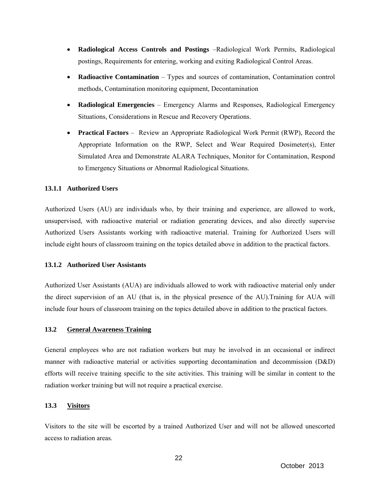- **Radiological Access Controls and Postings** –Radiological Work Permits, Radiological postings, Requirements for entering, working and exiting Radiological Control Areas.
- **Radioactive Contamination**  Types and sources of contamination, Contamination control methods, Contamination monitoring equipment, Decontamination
- **Radiological Emergencies** Emergency Alarms and Responses, Radiological Emergency Situations, Considerations in Rescue and Recovery Operations.
- **Practical Factors** Review an Appropriate Radiological Work Permit (RWP), Record the Appropriate Information on the RWP, Select and Wear Required Dosimeter(s), Enter Simulated Area and Demonstrate ALARA Techniques, Monitor for Contamination, Respond to Emergency Situations or Abnormal Radiological Situations.

#### **13.1.1 Authorized Users**

Authorized Users (AU) are individuals who, by their training and experience, are allowed to work, unsupervised, with radioactive material or radiation generating devices, and also directly supervise Authorized Users Assistants working with radioactive material. Training for Authorized Users will include eight hours of classroom training on the topics detailed above in addition to the practical factors.

#### **13.1.2 Authorized User Assistants**

Authorized User Assistants (AUA) are individuals allowed to work with radioactive material only under the direct supervision of an AU (that is, in the physical presence of the AU).Training for AUA will include four hours of classroom training on the topics detailed above in addition to the practical factors.

#### **13.2 General Awareness Training**

General employees who are not radiation workers but may be involved in an occasional or indirect manner with radioactive material or activities supporting decontamination and decommission (D&D) efforts will receive training specific to the site activities. This training will be similar in content to the radiation worker training but will not require a practical exercise.

#### **13.3 Visitors**

Visitors to the site will be escorted by a trained Authorized User and will not be allowed unescorted access to radiation areas.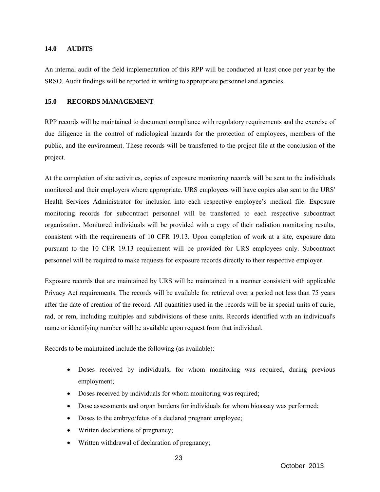#### **14.0 AUDITS**

An internal audit of the field implementation of this RPP will be conducted at least once per year by the SRSO. Audit findings will be reported in writing to appropriate personnel and agencies.

#### **15.0 RECORDS MANAGEMENT**

RPP records will be maintained to document compliance with regulatory requirements and the exercise of due diligence in the control of radiological hazards for the protection of employees, members of the public, and the environment. These records will be transferred to the project file at the conclusion of the project.

At the completion of site activities, copies of exposure monitoring records will be sent to the individuals monitored and their employers where appropriate. URS employees will have copies also sent to the URS' Health Services Administrator for inclusion into each respective employee's medical file. Exposure monitoring records for subcontract personnel will be transferred to each respective subcontract organization. Monitored individuals will be provided with a copy of their radiation monitoring results, consistent with the requirements of 10 CFR 19.13. Upon completion of work at a site, exposure data pursuant to the 10 CFR 19.13 requirement will be provided for URS employees only. Subcontract personnel will be required to make requests for exposure records directly to their respective employer.

Exposure records that are maintained by URS will be maintained in a manner consistent with applicable Privacy Act requirements. The records will be available for retrieval over a period not less than 75 years after the date of creation of the record. All quantities used in the records will be in special units of curie, rad, or rem, including multiples and subdivisions of these units. Records identified with an individual's name or identifying number will be available upon request from that individual.

Records to be maintained include the following (as available):

- Doses received by individuals, for whom monitoring was required, during previous employment;
- Doses received by individuals for whom monitoring was required;
- Dose assessments and organ burdens for individuals for whom bioassay was performed;
- Doses to the embryo/fetus of a declared pregnant employee;
- Written declarations of pregnancy;
- Written withdrawal of declaration of pregnancy;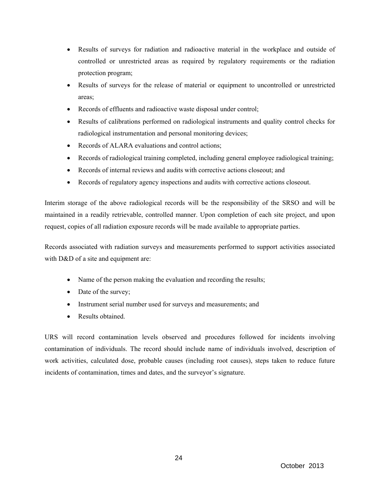- Results of surveys for radiation and radioactive material in the workplace and outside of controlled or unrestricted areas as required by regulatory requirements or the radiation protection program;
- Results of surveys for the release of material or equipment to uncontrolled or unrestricted areas;
- Records of effluents and radioactive waste disposal under control;
- Results of calibrations performed on radiological instruments and quality control checks for radiological instrumentation and personal monitoring devices;
- Records of ALARA evaluations and control actions;
- Records of radiological training completed, including general employee radiological training;
- Records of internal reviews and audits with corrective actions closeout; and
- Records of regulatory agency inspections and audits with corrective actions closeout.

Interim storage of the above radiological records will be the responsibility of the SRSO and will be maintained in a readily retrievable, controlled manner. Upon completion of each site project, and upon request, copies of all radiation exposure records will be made available to appropriate parties.

Records associated with radiation surveys and measurements performed to support activities associated with D&D of a site and equipment are:

- Name of the person making the evaluation and recording the results;
- Date of the survey;
- Instrument serial number used for surveys and measurements; and
- Results obtained.

URS will record contamination levels observed and procedures followed for incidents involving contamination of individuals. The record should include name of individuals involved, description of work activities, calculated dose, probable causes (including root causes), steps taken to reduce future incidents of contamination, times and dates, and the surveyor's signature.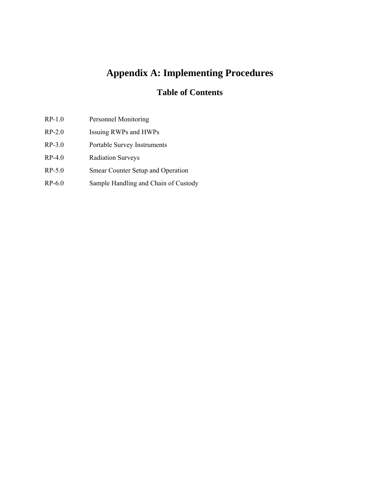# **Appendix A: Implementing Procedures**

## **Table of Contents**

- RP-1.0 Personnel Monitoring
- RP-2.0 Issuing RWPs and HWPs
- RP-3.0 Portable Survey Instruments
- RP-4.0 Radiation Surveys
- RP-5.0 Smear Counter Setup and Operation
- RP-6.0 Sample Handling and Chain of Custody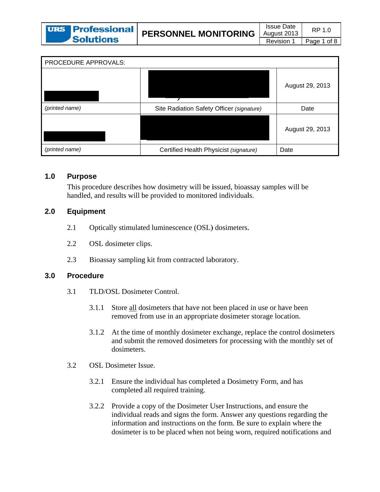| PROCEDURE APPROVALS: |                                           |                 |  |  |  |
|----------------------|-------------------------------------------|-----------------|--|--|--|
|                      |                                           | August 29, 2013 |  |  |  |
| (printed name)       | Site Radiation Safety Officer (signature) | Date            |  |  |  |
|                      |                                           | August 29, 2013 |  |  |  |
| (printed name)       | Certified Health Physicist (signature)    | Date            |  |  |  |

#### $1.0$ **Purpose**

This procedure describes how dosimetry will be issued, bioassay samples will be handled, and results will be provided to monitored individuals.

#### $2.0$ **Equipment**

- Optically stimulated luminescence (OSL) dosimeters.  $2.1$
- $2.2$ OSL dosimeter clips.
- $2.3$ Bioassay sampling kit from contracted laboratory.

#### $3.0$ **Procedure**

- $3.1$ TLD/OSL Dosimeter Control.
	- $3.1.1$ Store all dosimeters that have not been placed in use or have been removed from use in an appropriate dosimeter storage location.
	- At the time of monthly dosimeter exchange, replace the control dosimeters 3.1.2 and submit the removed dosimeters for processing with the monthly set of dosimeters.
- $3.2$ **OSL** Dosimeter Issue.
	- Ensure the individual has completed a Dosimetry Form, and has  $3.2.1$ completed all required training.
	- $3.2.2$ Provide a copy of the Dosimeter User Instructions, and ensure the individual reads and signs the form. Answer any questions regarding the information and instructions on the form. Be sure to explain where the dosimeter is to be placed when not being worn, required notifications and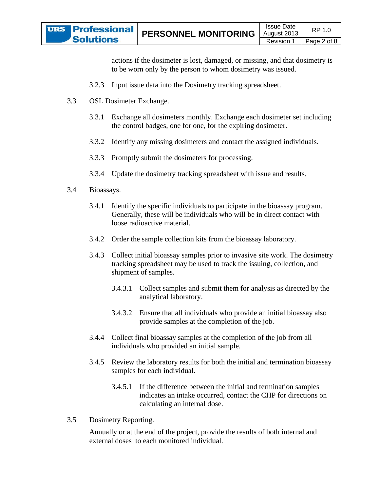actions if the dosimeter is lost, damaged, or missing, and that dosimetry is to be worn only by the person to whom dosimetry was issued.

- 3.2.3 Input issue data into the Dosimetry tracking spreadsheet.
- 3.3 .3 OSL D Dosimeter E Exchange.
	- 3.3.1 Exchange all dosimeters monthly. Exchange each dosimeter set including the control badges, one for one, for the expiring dosimeter.
	- 3.3.2 Identify any missing dosimeters and contact the assigned individuals.
	- 3.3.3 Promptly submit the dosimeters for processing.
	- 3.3.4 Update the dosimetry tracking spreadsheet with issue and results.
- 3.4 .4 Bioas says.
	- 3.4.1 Identify the specific individuals to participate in the bioassay program. Generally, these will be individuals who will be in direct contact with loose radioactive material. Generally, these will be individuals who will be in direct contact with<br>loose radioactive material.<br>Order the sample collection kits from the bioassay laboratory.<br>Collect initial bioassay samples prior to invasive site wor
	- 3.4.2 Order the sample collection kits from the bioassay laboratory.
	- 3.4.3 tracking spreadsheet may be used to track the issuing, collection, and shipment of samples.
		- $3.4.3.1$ a analytical lab boratory. Collect samples and submit them for analysis as directed by the
		- $3.4.3.2$ provide samples at the completion of the job. Ensure that all individuals who provide an initial bioassay also
	- 3.4.4 Collect final bioassay samples at the completion of the job from all individuals who provided an initial sample.
	- 3.4.5 Review the laboratory results for both the initial and termination bioassay samples for each individual.
		- 3.4.5.1 If the difference between the initial and termination samples indicates an intake occurred, contact the CHP for directions on calculating an internal dose.
- $3.5$ .5 Dosimetry Reporting.

Annually or at the end of the project, provide the results of both internal and external doses to each monitored individual.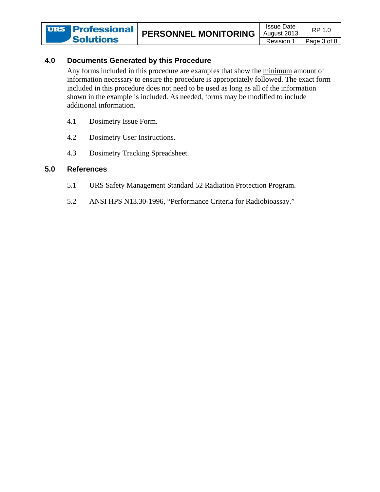#### 4.0 **Documents Generated by this Procedure**

Any forms included in this procedure are examples that show the minimum amount of information necessary to ensure the procedure is appropriately followed. The exact form included in this procedure does not need to be used as long as all of the information shown in the example is included. As needed, forms may be modified to include additional information.

- 4.1 Dosimetry Issue Form.
- 4.2 Dosimetry User Instructions.
- $4.3$ Dosimetry Tracking Spreadsheet.

#### $5.0$ **References**

- $5.1$ URS Safety Management Standard 52 Radiation Protection Program.
- 5.2 ANSI HPS N13.30-1996, "Performance Criteria for Radiobioassay."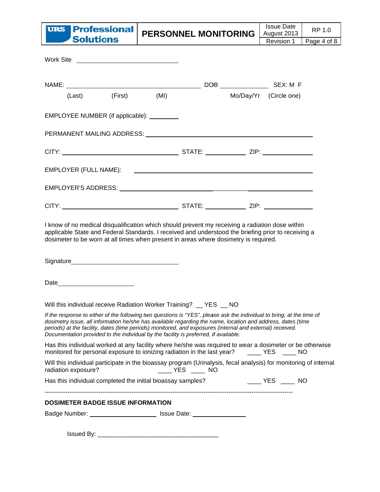

PERSONNEL MONITORING

| Work Site <u>_________________________________</u>                                                                                                                                                                                                                                                                                                                                                                                        |                     |  |                        |  |
|-------------------------------------------------------------------------------------------------------------------------------------------------------------------------------------------------------------------------------------------------------------------------------------------------------------------------------------------------------------------------------------------------------------------------------------------|---------------------|--|------------------------|--|
|                                                                                                                                                                                                                                                                                                                                                                                                                                           |                     |  |                        |  |
|                                                                                                                                                                                                                                                                                                                                                                                                                                           | (Last) (First) (MI) |  | Mo/Day/Yr (Circle one) |  |
| EMPLOYEE NUMBER (if applicable): ________                                                                                                                                                                                                                                                                                                                                                                                                 |                     |  |                        |  |
| PERMANENT MAILING ADDRESS: National Account of the Manuscript of the Manuscript of the Manuscript of the Manus                                                                                                                                                                                                                                                                                                                            |                     |  |                        |  |
|                                                                                                                                                                                                                                                                                                                                                                                                                                           |                     |  |                        |  |
|                                                                                                                                                                                                                                                                                                                                                                                                                                           |                     |  |                        |  |
|                                                                                                                                                                                                                                                                                                                                                                                                                                           |                     |  |                        |  |
|                                                                                                                                                                                                                                                                                                                                                                                                                                           |                     |  |                        |  |
| dosimeter to be worn at all times when present in areas where dosimetry is required.                                                                                                                                                                                                                                                                                                                                                      |                     |  |                        |  |
| Date____________________________                                                                                                                                                                                                                                                                                                                                                                                                          |                     |  |                        |  |
| Will this individual receive Radiation Worker Training? _ YES _ NO                                                                                                                                                                                                                                                                                                                                                                        |                     |  |                        |  |
| If the response to either of the following two questions is "YES", please ask the individual to bring, at the time of<br>dosimetry issue, all information he/she has available regarding the name, location and address, dates (time<br>periods) at the facility, dates (time periods) monitored, and exposures (internal and external) received.<br>Documentation provided to the individual by the facility is preferred, if available. |                     |  |                        |  |
| Has this individual worked at any facility where he/she was required to wear a dosimeter or be otherwise<br>monitored for personal exposure to ionizing radiation in the last year? _____ YES _____ NO                                                                                                                                                                                                                                    |                     |  |                        |  |
| Will this individual participate in the bioassay program (Urinalysis, fecal analysis) for monitoring of internal<br>radiation exposure?                                                                                                                                                                                                                                                                                                   |                     |  |                        |  |
|                                                                                                                                                                                                                                                                                                                                                                                                                                           |                     |  |                        |  |
| <b>DOSIMETER BADGE ISSUE INFORMATION</b>                                                                                                                                                                                                                                                                                                                                                                                                  |                     |  |                        |  |
| Badge Number: _____________________________ Issue Date: ________________________                                                                                                                                                                                                                                                                                                                                                          |                     |  |                        |  |
|                                                                                                                                                                                                                                                                                                                                                                                                                                           |                     |  |                        |  |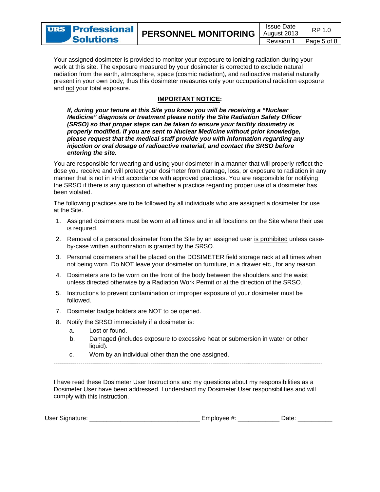

Your assigned dosimeter is provided to monitor your exposure to ionizing radiation during your work at this site. The exposure measured by your dosimeter is corrected to exclude natural radiation from the earth, atmosphere, space (cosmic radiation), and radioactive material naturally present in your own body; thus this dosimeter measures only your occupational radiation exposure and not your total exposure.

### **IMPORTANT NOTICE:**

If, during your tenure at this Site you know you will be receiving a "Nuclear" Medicine" diagnosis or treatment please notify the Site Radiation Safety Officer (SRSO) so that proper steps can be taken to ensure your facility dosimetry is properly modified. If you are sent to Nuclear Medicine without prior knowledge, please request that the medical staff provide you with information regarding any injection or oral dosage of radioactive material, and contact the SRSO before entering the site.

You are responsible for wearing and using your dosimeter in a manner that will properly reflect the dose you receive and will protect your dosimeter from damage, loss, or exposure to radiation in any manner that is not in strict accordance with approved practices. You are responsible for notifying the SRSO if there is any question of whether a practice regarding proper use of a dosimeter has been violated.

The following practices are to be followed by all individuals who are assigned a dosimeter for use at the Site.

- 1. Assigned dosimeters must be worn at all times and in all locations on the Site where their use is required.
- 2. Removal of a personal dosimeter from the Site by an assigned user is prohibited unless caseby-case written authorization is granted by the SRSO.
- 3. Personal dosimeters shall be placed on the DOSIMETER field storage rack at all times when not being worn. Do NOT leave your dosimeter on furniture, in a drawer etc., for any reason.
- 4. Dosimeters are to be worn on the front of the body between the shoulders and the waist unless directed otherwise by a Radiation Work Permit or at the direction of the SRSO.
- 5. Instructions to prevent contamination or improper exposure of your dosimeter must be followed.
- 7. Dosimeter badge holders are NOT to be opened.
- 8. Notify the SRSO immediately if a dosimeter is:
	- a. Lost or found.
	- Damaged (includes exposure to excessive heat or submersion in water or other b. liquid).
	- Worn by an individual other than the one assigned.  $\mathsf{C}$

I have read these Dosimeter User Instructions and my questions about my responsibilities as a Dosimeter User have been addressed. I understand my Dosimeter User responsibilities and will comply with this instruction.

| User Si<br>Signature: |  | olovee<br>.mr |  |  |  |
|-----------------------|--|---------------|--|--|--|
|-----------------------|--|---------------|--|--|--|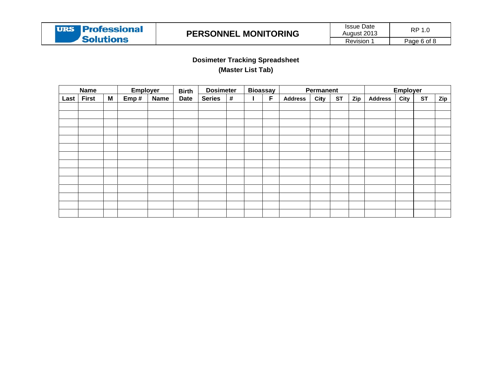## **Dosimeter Tracking Spreadsheet** (Master List Tab)

| <b>Name</b> |              |   | <b>Employer</b> |             | <b>Birth</b> | <b>Dosimeter</b> |   | <b>Bioassay</b> |   | Permanent      |      |           |     | Employer       |      |           |            |
|-------------|--------------|---|-----------------|-------------|--------------|------------------|---|-----------------|---|----------------|------|-----------|-----|----------------|------|-----------|------------|
| Last        | <b>First</b> | M | Emp#            | <b>Name</b> | <b>Date</b>  | <b>Series</b>    | # |                 | F | <b>Address</b> | City | <b>ST</b> | Zip | <b>Address</b> | City | <b>ST</b> | <b>Zip</b> |
|             |              |   |                 |             |              |                  |   |                 |   |                |      |           |     |                |      |           |            |
|             |              |   |                 |             |              |                  |   |                 |   |                |      |           |     |                |      |           |            |
|             |              |   |                 |             |              |                  |   |                 |   |                |      |           |     |                |      |           |            |
|             |              |   |                 |             |              |                  |   |                 |   |                |      |           |     |                |      |           |            |
|             |              |   |                 |             |              |                  |   |                 |   |                |      |           |     |                |      |           |            |
|             |              |   |                 |             |              |                  |   |                 |   |                |      |           |     |                |      |           |            |
|             |              |   |                 |             |              |                  |   |                 |   |                |      |           |     |                |      |           |            |
|             |              |   |                 |             |              |                  |   |                 |   |                |      |           |     |                |      |           |            |
|             |              |   |                 |             |              |                  |   |                 |   |                |      |           |     |                |      |           |            |
|             |              |   |                 |             |              |                  |   |                 |   |                |      |           |     |                |      |           |            |
|             |              |   |                 |             |              |                  |   |                 |   |                |      |           |     |                |      |           |            |
|             |              |   |                 |             |              |                  |   |                 |   |                |      |           |     |                |      |           |            |
|             |              |   |                 |             |              |                  |   |                 |   |                |      |           |     |                |      |           |            |
|             |              |   |                 |             |              |                  |   |                 |   |                |      |           |     |                |      |           |            |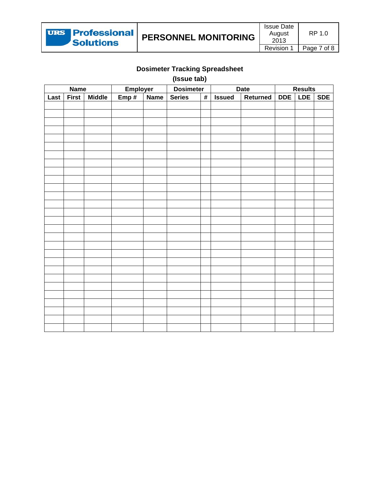

# **Dosimeter Tracking Spreadsheet**

(Issue tab)

| <b>Name</b> |              | Employer      |      | <b>Dosimeter</b> |               | Date | <b>Results</b> |          |            |     |            |
|-------------|--------------|---------------|------|------------------|---------------|------|----------------|----------|------------|-----|------------|
| Last        | <b>First</b> | <b>Middle</b> | Emp# | <b>Name</b>      | <b>Series</b> | $\#$ | <b>Issued</b>  | Returned | <b>DDE</b> | LDE | <b>SDE</b> |
|             |              |               |      |                  |               |      |                |          |            |     |            |
|             |              |               |      |                  |               |      |                |          |            |     |            |
|             |              |               |      |                  |               |      |                |          |            |     |            |
|             |              |               |      |                  |               |      |                |          |            |     |            |
|             |              |               |      |                  |               |      |                |          |            |     |            |
|             |              |               |      |                  |               |      |                |          |            |     |            |
|             |              |               |      |                  |               |      |                |          |            |     |            |
|             |              |               |      |                  |               |      |                |          |            |     |            |
|             |              |               |      |                  |               |      |                |          |            |     |            |
|             |              |               |      |                  |               |      |                |          |            |     |            |
|             |              |               |      |                  |               |      |                |          |            |     |            |
|             |              |               |      |                  |               |      |                |          |            |     |            |
|             |              |               |      |                  |               |      |                |          |            |     |            |
|             |              |               |      |                  |               |      |                |          |            |     |            |
|             |              |               |      |                  |               |      |                |          |            |     |            |
|             |              |               |      |                  |               |      |                |          |            |     |            |
|             |              |               |      |                  |               |      |                |          |            |     |            |
|             |              |               |      |                  |               |      |                |          |            |     |            |
|             |              |               |      |                  |               |      |                |          |            |     |            |
|             |              |               |      |                  |               |      |                |          |            |     |            |
|             |              |               |      |                  |               |      |                |          |            |     |            |
|             |              |               |      |                  |               |      |                |          |            |     |            |
|             |              |               |      |                  |               |      |                |          |            |     |            |
|             |              |               |      |                  |               |      |                |          |            |     |            |
|             |              |               |      |                  |               |      |                |          |            |     |            |
|             |              |               |      |                  |               |      |                |          |            |     |            |
|             |              |               |      |                  |               |      |                |          |            |     |            |
|             |              |               |      |                  |               |      |                |          |            |     |            |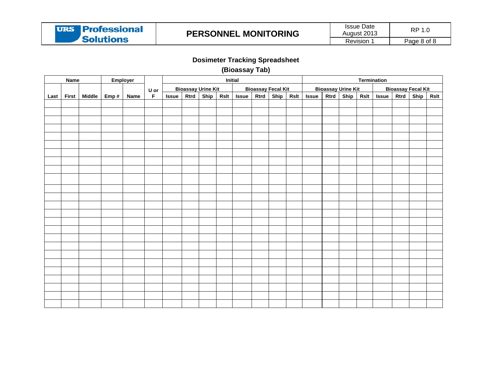

Page 8 of 8

## **Dosimeter Tracking Spreadsheet**

(Bioassay Tab)

|      | <b>Name</b> |                   | Employer |                                              |              | <b>Initial</b> |                           |      |              |      | <b>Termination</b>        |      |        |      |                           |  |                 |                           |             |
|------|-------------|-------------------|----------|----------------------------------------------|--------------|----------------|---------------------------|------|--------------|------|---------------------------|------|--------|------|---------------------------|--|-----------------|---------------------------|-------------|
|      |             |                   |          |                                              |              |                | <b>Bioassay Urine Kit</b> |      |              |      | <b>Bioassay Fecal Kit</b> |      |        |      | <b>Bioassay Urine Kit</b> |  |                 | <b>Bioassay Fecal Kit</b> |             |
| Last |             | First Middle Emp# | Name     | $\frac{\mathsf{U} \text{ or } }{\mathsf{F}}$ | <b>Issue</b> | <b>Rtrd</b>    | <b>Ship</b>               | Rslt | <b>Issue</b> | Rtrd | Ship                      | Rslt | Is sue | Rtrd |                           |  | Ship Rslt Issue | Rtrd   Ship               | <b>Rslt</b> |
|      |             |                   |          |                                              |              |                |                           |      |              |      |                           |      |        |      |                           |  |                 |                           |             |
|      |             |                   |          |                                              |              |                |                           |      |              |      |                           |      |        |      |                           |  |                 |                           |             |
|      |             |                   |          |                                              |              |                |                           |      |              |      |                           |      |        |      |                           |  |                 |                           |             |
|      |             |                   |          |                                              |              |                |                           |      |              |      |                           |      |        |      |                           |  |                 |                           |             |
|      |             |                   |          |                                              |              |                |                           |      |              |      |                           |      |        |      |                           |  |                 |                           |             |
|      |             |                   |          |                                              |              |                |                           |      |              |      |                           |      |        |      |                           |  |                 |                           |             |
|      |             |                   |          |                                              |              |                |                           |      |              |      |                           |      |        |      |                           |  |                 |                           |             |
|      |             |                   |          |                                              |              |                |                           |      |              |      |                           |      |        |      |                           |  |                 |                           |             |
|      |             |                   |          |                                              |              |                |                           |      |              |      |                           |      |        |      |                           |  |                 |                           |             |
|      |             |                   |          |                                              |              |                |                           |      |              |      |                           |      |        |      |                           |  |                 |                           |             |
|      |             |                   |          |                                              |              |                |                           |      |              |      |                           |      |        |      |                           |  |                 |                           |             |
|      |             |                   |          |                                              |              |                |                           |      |              |      |                           |      |        |      |                           |  |                 |                           |             |
|      |             |                   |          |                                              |              |                |                           |      |              |      |                           |      |        |      |                           |  |                 |                           |             |
|      |             |                   |          |                                              |              |                |                           |      |              |      |                           |      |        |      |                           |  |                 |                           |             |
|      |             |                   |          |                                              |              |                |                           |      |              |      |                           |      |        |      |                           |  |                 |                           |             |
|      |             |                   |          |                                              |              |                |                           |      |              |      |                           |      |        |      |                           |  |                 |                           |             |
|      |             |                   |          |                                              |              |                |                           |      |              |      |                           |      |        |      |                           |  |                 |                           |             |
|      |             |                   |          |                                              |              |                |                           |      |              |      |                           |      |        |      |                           |  |                 |                           |             |
|      |             |                   |          |                                              |              |                |                           |      |              |      |                           |      |        |      |                           |  |                 |                           |             |
|      |             |                   |          |                                              |              |                |                           |      |              |      |                           |      |        |      |                           |  |                 |                           |             |
|      |             |                   |          |                                              |              |                |                           |      |              |      |                           |      |        |      |                           |  |                 |                           |             |
|      |             |                   |          |                                              |              |                |                           |      |              |      |                           |      |        |      |                           |  |                 |                           |             |
|      |             |                   |          |                                              |              |                |                           |      |              |      |                           |      |        |      |                           |  |                 |                           |             |
|      |             |                   |          |                                              |              |                |                           |      |              |      |                           |      |        |      |                           |  |                 |                           |             |
|      |             |                   |          |                                              |              |                |                           |      |              |      |                           |      |        |      |                           |  |                 |                           |             |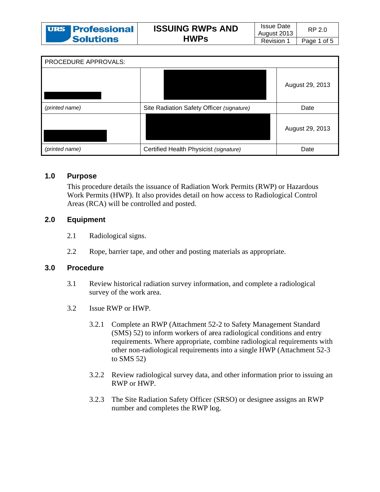| <b>URS Professional</b> | <b>ISSUING RWPs AND</b> | <b>Issue Date</b><br>August 2013 | RP 2.0      |
|-------------------------|-------------------------|----------------------------------|-------------|
| <b>'Solutions</b>       | <b>HWPs</b>             | Revision                         | Page 1 of 5 |

| PROCEDURE APPROVALS: |                                           |                 |
|----------------------|-------------------------------------------|-----------------|
|                      |                                           | August 29, 2013 |
| (printed name)       | Site Radiation Safety Officer (signature) | Date            |
|                      |                                           | August 29, 2013 |
| (printed name)       | Certified Health Physicist (signature)    | Date            |

#### $1.0$ **Purpose**

This procedure details the issuance of Radiation Work Permits (RWP) or Hazardous Work Permits (HWP). It also provides detail on how access to Radiological Control Areas (RCA) will be controlled and posted.

#### $2.0$ **Equipment**

- $2.1$ Radiological signs.
- 2.2 Rope, barrier tape, and other and posting materials as appropriate.

#### $3.0$ **Procedure**

- Review historical radiation survey information, and complete a radiological  $3.1$ survey of the work area.
- $3.2$ Issue RWP or HWP.
	- Complete an RWP (Attachment 52-2 to Safety Management Standard  $3.2.1$ (SMS) 52) to inform workers of area radiological conditions and entry requirements. Where appropriate, combine radiological requirements with other non-radiological requirements into a single HWP (Attachment 52-3) to SMS  $52$ )
	- 3.2.2 Review radiological survey data, and other information prior to issuing an RWP or HWP.
	- $3.2.3$ The Site Radiation Safety Officer (SRSO) or designee assigns an RWP number and completes the RWP log.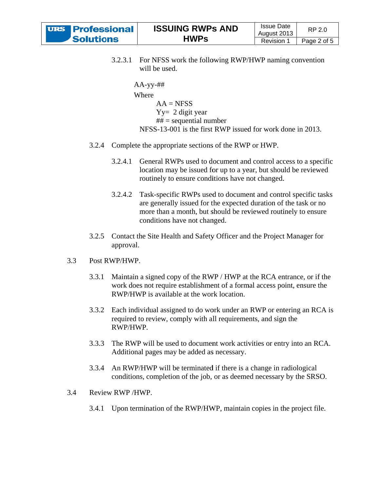| <b>URS</b> Professional |
|-------------------------|
| <b>Solutions</b>        |

```
AA
A-yy-## 
Wh
here 
 NFSS-13-001 is the first RWP issued for work done in 2013.
       AA = NFSSYy= 2 
digit year
       ## = se
equential num
mber
```
- 3.2.4 Complete the appropriate sections of the RWP or HWP.
	- 3.2.4.1 General RWPs used to document and control access to a specific location may be issued for up to a year, but should be reviewed routinely to ensure conditions have not changed.
	- $3.2.4.2$ are generally issued for the expected duration of the task or no more than a month, but should be reviewed routinely to ensure conditions have not changed. routinely to ensure conditions have not changed.<br>Task-specific RWPs used to document and control specific tasks
- 3.2.5 Contact the Site Health and Safety Officer and the Project Manager for approval.

#### 3.3 .3 Post R RWP/HWP.

- 3.3.1 Maintain a signed copy of the RWP / HWP at the RCA entrance, or if the work does not require establishment of a formal access point, ensure the RWP/HWP is available at the work location.
- 3.3.2 Each individual assigned to do work under an RWP or entering an RCA is required to review, comply with all requirements, and sign the RWP/HW WP.
- 3.3.3 The RWP will be used to document work activities or entry into an RCA. Additional pages may be added as necessary.
- 3.3.4 An RWP/HWP will be terminated if there is a change in radiological conditions, completion of the job, or as deemed necessary by the SRSO.

#### 3.4 .4 Revie w RWP /HW WP.

3.4.1 Upon termination of the RWP/HWP, maintain copies in the project file.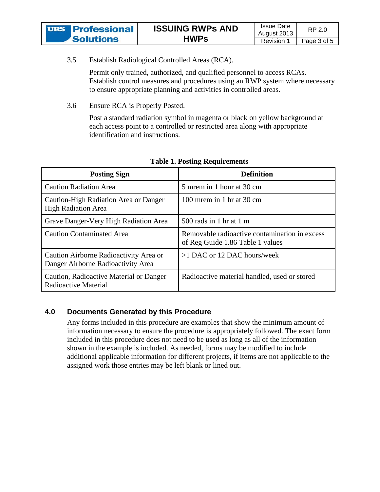| <b>URS Professional</b> | <b>ISSUING RWPS AND</b> | <b>Issue Date</b> | RP 2.0      |
|-------------------------|-------------------------|-------------------|-------------|
|                         |                         | August 2013       |             |
| <b>Solutions</b>        | <b>HWPs</b>             | Revision 1        | Page 3 of 5 |

 $3.5$ Establish Radiological Controlled Areas (RCA).

> Permit only trained, authorized, and qualified personnel to access RCAs. Establish control measures and procedures using an RWP system where necessary to ensure appropriate planning and activities in controlled areas.

3.6 Ensure RCA is Properly Posted.

> Post a standard radiation symbol in magenta or black on yellow background at each access point to a controlled or restricted area along with appropriate identification and instructions.

| <b>Posting Sign</b>                                                          | <b>Definition</b>                                                                 |
|------------------------------------------------------------------------------|-----------------------------------------------------------------------------------|
| <b>Caution Radiation Area</b>                                                | 5 mrem in 1 hour at 30 cm                                                         |
| Caution-High Radiation Area or Danger<br><b>High Radiation Area</b>          | 100 mrem in 1 hr at 30 cm                                                         |
| Grave Danger-Very High Radiation Area                                        | $500$ rads in 1 hr at 1 m                                                         |
| <b>Caution Contaminated Area</b>                                             | Removable radioactive contamination in excess<br>of Reg Guide 1.86 Table 1 values |
| Caution Airborne Radioactivity Area or<br>Danger Airborne Radioactivity Area | $>1$ DAC or 12 DAC hours/week                                                     |
| Caution, Radioactive Material or Danger<br>Radioactive Material              | Radioactive material handled, used or stored                                      |

### **Table 1. Posting Requirements**

#### $4.0$ **Documents Generated by this Procedure**

Any forms included in this procedure are examples that show the minimum amount of information necessary to ensure the procedure is appropriately followed. The exact form included in this procedure does not need to be used as long as all of the information shown in the example is included. As needed, forms may be modified to include additional applicable information for different projects, if items are not applicable to the assigned work those entries may be left blank or lined out.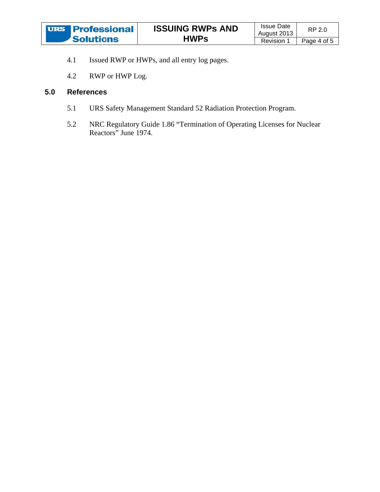- $4.1$ Issued RWP or HWPs, and all entry log pages.
- $4.2$ RWP or HWP Log.

#### $5.0$ **References**

- $5.1$ URS Safety Management Standard 52 Radiation Protection Program.
- $5.2$ NRC Regulatory Guide 1.86 "Termination of Operating Licenses for Nuclear Reactors" June 1974.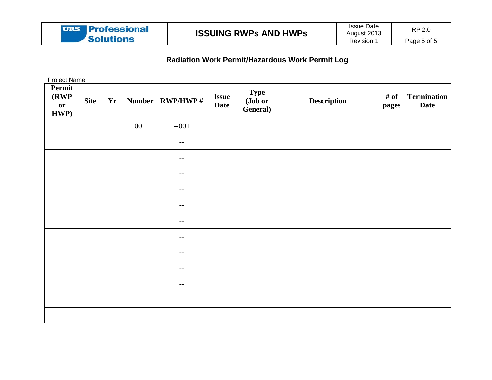| <b>URS Professional</b> | <b>ISSUING RWPS AND HWPS</b> | Issue Date<br>August 2013 | RP 2.0      |
|-------------------------|------------------------------|---------------------------|-------------|
| <b>Solutions</b>        |                              | <b>Revision</b>           | Page 5 of 5 |

# Radiation Work Permit/Hazardous Work Permit Log

**Project Name** 

| Permit<br>(RWP) | <b>Site</b> | <b>Yr</b> | <b>Number</b> | <b>RWP/HWP#</b>          | <b>Issue</b> | Type<br>(Job or | <b>Description</b> | # of  | <b>Termination</b> |
|-----------------|-------------|-----------|---------------|--------------------------|--------------|-----------------|--------------------|-------|--------------------|
| or<br>HWP)      |             |           |               |                          | <b>Date</b>  | General)        |                    | pages | <b>Date</b>        |
|                 |             |           | 001           | $-001$                   |              |                 |                    |       |                    |
|                 |             |           |               | $- -$                    |              |                 |                    |       |                    |
|                 |             |           |               | $\overline{\phantom{m}}$ |              |                 |                    |       |                    |
|                 |             |           |               | $- -$                    |              |                 |                    |       |                    |
|                 |             |           |               | $- -$                    |              |                 |                    |       |                    |
|                 |             |           |               | $- -$                    |              |                 |                    |       |                    |
|                 |             |           |               | $\overline{\phantom{m}}$ |              |                 |                    |       |                    |
|                 |             |           |               | $- -$                    |              |                 |                    |       |                    |
|                 |             |           |               | $-\,-$                   |              |                 |                    |       |                    |
|                 |             |           |               | $- -$                    |              |                 |                    |       |                    |
|                 |             |           |               | $- -$                    |              |                 |                    |       |                    |
|                 |             |           |               |                          |              |                 |                    |       |                    |
|                 |             |           |               |                          |              |                 |                    |       |                    |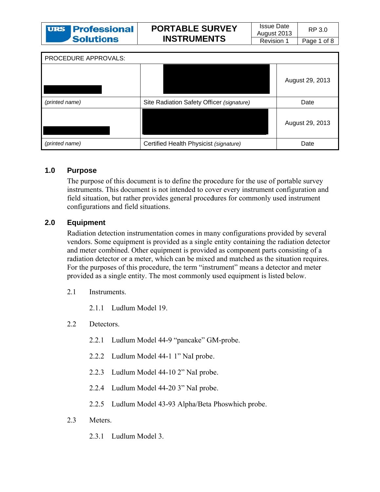| <b>URS Professional</b> | <b>PORTABLE SURVEY</b> | <b>Issue Date</b><br>August 2013 | RP 3.0      |
|-------------------------|------------------------|----------------------------------|-------------|
| <b>Solutions</b>        | <b>INSTRUMENTS</b>     | Revision                         | Page 1 of 8 |

| PROCEDURE APPROVALS: |                                           |                 |
|----------------------|-------------------------------------------|-----------------|
|                      |                                           | August 29, 2013 |
| (printed name)       | Site Radiation Safety Officer (signature) | Date            |
|                      |                                           | August 29, 2013 |
| (printed name)       | Certified Health Physicist (signature)    | Date            |

#### $1.0$ **Purpose**

The purpose of this document is to define the procedure for the use of portable survey instruments. This document is not intended to cover every instrument configuration and field situation, but rather provides general procedures for commonly used instrument configurations and field situations.

#### $2.0$ **Equipment**

Radiation detection instrumentation comes in many configurations provided by several vendors. Some equipment is provided as a single entity containing the radiation detector and meter combined. Other equipment is provided as component parts consisting of a radiation detector or a meter, which can be mixed and matched as the situation requires. For the purposes of this procedure, the term "instrument" means a detector and meter provided as a single entity. The most commonly used equipment is listed below.

- $21$ **Instruments** 
	- 2.1.1 Ludlum Model 19.
- $2.2$ Detectors.
	- 2.2.1 Ludlum Model 44-9 "pancake" GM-probe.
	- 2.2.2 Ludlum Model 44-1 1" NaI probe.
	- $2.2.3$ Ludlum Model 44-10 2" NaI probe.
	- 2.2.4 Ludlum Model 44-20 3" NaI probe.
	- 2.2.5 Ludlum Model 43-93 Alpha/Beta Phoswhich probe.
- $23$ Meters
	- 2.3.1 Ludlum Model 3.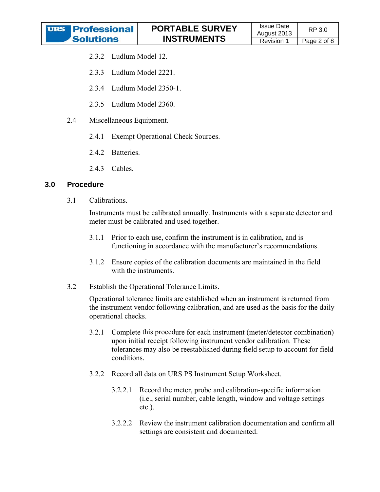

- 2.3.2 Ludlum Model 12.
- 2.3.3 Ludlum Model 2221.
- 2.3.4 Ludlum Model 2350-1.
- 2.3.5 Ludlum Model 2360.
- 2.4 Miscellaneous Equipment.
	- $2.4.1$ **Exempt Operational Check Sources.**
	- 2.4.2 Batteries.
	- 2.4.3 Cables.

#### $3.0$ **Procedure**

 $3.1$ Calibrations.

> Instruments must be calibrated annually. Instruments with a separate detector and meter must be calibrated and used together.

- $3.1.1$ Prior to each use, confirm the instrument is in calibration, and is functioning in accordance with the manufacturer's recommendations.
- Ensure copies of the calibration documents are maintained in the field  $3.1.2$ with the instruments.
- $3.2$ Establish the Operational Tolerance Limits.

Operational tolerance limits are established when an instrument is returned from the instrument vendor following calibration, and are used as the basis for the daily operational checks.

- Complete this procedure for each instrument (meter/detector combination)  $3.2.1$ upon initial receipt following instrument vendor calibration. These tolerances may also be reestablished during field setup to account for field conditions.
- 3.2.2 Record all data on URS PS Instrument Setup Worksheet.
	- Record the meter, probe and calibration-specific information  $3.2.2.1$ (*i.e.*, serial number, cable length, window and voltage settings  $etc.$ ).
	- Review the instrument calibration documentation and confirm all  $3.2.2.2$ settings are consistent and documented.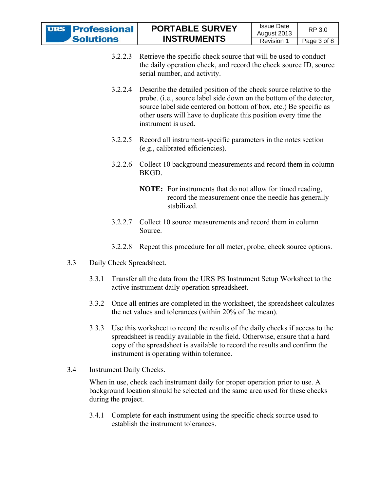| <b>URS</b> Professional |
|-------------------------|
| <b>Solutions</b>        |

- $3.2.2.3$ Retrieve the specific check source that will be used to conduct the daily operation check, and record the check source ID, source serial number, and activity.
- $3.2.2.4$ Describe the detailed position of the check source relative to the probe. (i.e., source label side down on the bottom of the detector, source label side centered on bottom of box, etc.) Be specific as other users will have to duplicate this position every time the instrument is used.
- 3.2.2.5 Record all instrument-specific parameters in the notes section (e.g., calibrated efficiencies).
- 3.2.2.6 Collect 10 background measurements and record them in column **BKGD**

## **NOTE:** For instruments that do not allow for timed reading, record the measurement once the needle has generally stabilized.

- 3.2.2.7 Collect 10 source measurements and record them in column Source
- 3.2.2.8 Repeat this procedure for all meter, probe, check source options.
- $3.3$ Daily Check Spreadsheet.
	- Transfer all the data from the URS PS Instrument Setup Worksheet to the 3.3.1 active instrument daily operation spreadsheet.
	- 3.3.2 Once all entries are completed in the worksheet, the spreadsheet calculates the net values and tolerances (within 20% of the mean).
	- $3.3.3$ Use this worksheet to record the results of the daily checks if access to the spreadsheet is readily available in the field. Otherwise, ensure that a hard copy of the spreadsheet is available to record the results and confirm the instrument is operating within tolerance.
- $3.4$ **Instrument Daily Checks.**

When in use, check each instrument daily for proper operation prior to use. A background location should be selected and the same area used for these checks during the project.

3.4.1 Complete for each instrument using the specific check source used to establish the instrument tolerances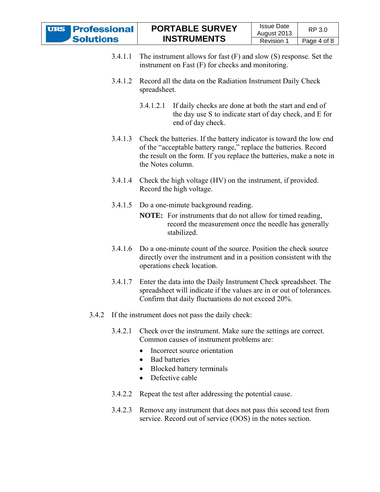| <b>URS Professional</b> | <b>PORTABLE SURVEY</b> | <b>Issue Date</b><br>August 2013 | RP 3.0      |
|-------------------------|------------------------|----------------------------------|-------------|
| <b>Solutions</b>        | <b>INSTRUMENTS</b>     |                                  |             |
|                         |                        | Revision                         | Page 4 of 8 |

- $3.4.1.1$  The instrument allows for fast  $(F)$  and slow  $(S)$  response. Set the instrument on Fast (F) for checks and monitoring.
- $3.4.1.2$ Record all the data on the Radiation Instrument Daily Check spreadsheet.
	- $3.4.1.2.1$ If daily checks are done at both the start and end of the day use S to indicate start of day check, and E for end of day check.
- 3.4.1.3 Check the batteries. If the battery indicator is toward the low end of the "acceptable battery range," replace the batteries. Record the result on the form. If you replace the batteries, make a note in the Notes column
- 3.4.1.4 Check the high voltage (HV) on the instrument, if provided. Record the high voltage.
- 3.4.1.5 Do a one-minute background reading.
	- **NOTE:** For instruments that do not allow for timed reading, record the measurement once the needle has generally stabilized.
- 3.4.1.6 Do a one-minute count of the source. Position the check source directly over the instrument and in a position consistent with the operations check location.
- 3.4.1.7 Enter the data into the Daily Instrument Check spreadsheet. The spreadsheet will indicate if the values are in or out of tolerances. Confirm that daily fluctuations do not exceed 20%.
- 3.4.2 If the instrument does not pass the daily check:
	- 3.4.2.1 Check over the instrument. Make sure the settings are correct. Common causes of instrument problems are:
		- $\bullet$ Incorrect source orientation
		- Bad batteries
		- Blocked battery terminals  $\bullet$
		- Defective cable  $\bullet$
	- 3.4.2.2 Repeat the test after addressing the potential cause.
	- $3.4.2.3$ Remove any instrument that does not pass this second test from service. Record out of service (OOS) in the notes section.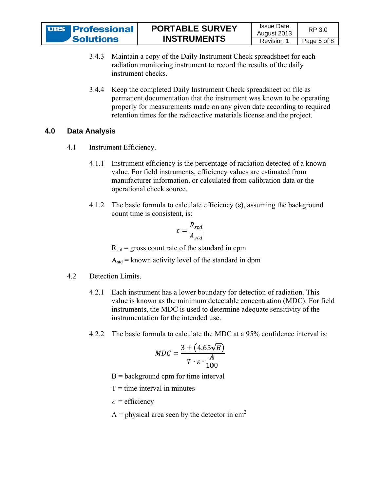| <b>URS Professional</b> | <b>PORTABLE SURVEY</b> | <b>Issue Date</b> | RP 3.0      |
|-------------------------|------------------------|-------------------|-------------|
|                         |                        | August 2013       |             |
| <b>Solutions</b>        | <b>INSTRUMENTS</b>     | Revision          | Page 5 of 8 |

- 3.4.3 Maintain a copy of the Daily Instrument Check spreadsheet for each radiation monitoring instrument to record the results of the daily instrument checks.
- $3.4.4$ Keep the completed Daily Instrument Check spreadsheet on file as permanent documentation that the instrument was known to be operating properly for measurements made on any given date according to required retention times for the radioactive materials license and the project.

#### $4.0$ **Data Analysis**

- $4.1$ Instrument Efficiency.
	- Instrument efficiency is the percentage of radiation detected of a known 4.1.1 value. For field instruments, efficiency values are estimated from manufacturer information, or calculated from calibration data or the operational check source.
	- 4.1.2 The basic formula to calculate efficiency  $(\epsilon)$ , assuming the background count time is consistent, is:

$$
\varepsilon = \frac{R_{std}}{A_{std}}
$$

 $R_{std}$  = gross count rate of the standard in cpm

 $A_{std}$  = known activity level of the standard in dpm

#### 42 Detection Limits.

- 4.2.1 Each instrument has a lower boundary for detection of radiation. This value is known as the minimum detectable concentration (MDC). For field instruments, the MDC is used to determine adequate sensitivity of the instrumentation for the intended use.
- 4.2.2 The basic formula to calculate the MDC at a 95% confidence interval is:

$$
MDC = \frac{3 + (4.65\sqrt{B})}{T \cdot \varepsilon \cdot \frac{A}{100}}
$$

- $B =$  background cpm for time interval
- $T =$  time interval in minutes
- $\epsilon$  = efficiency
- A = physical area seen by the detector in  $cm<sup>2</sup>$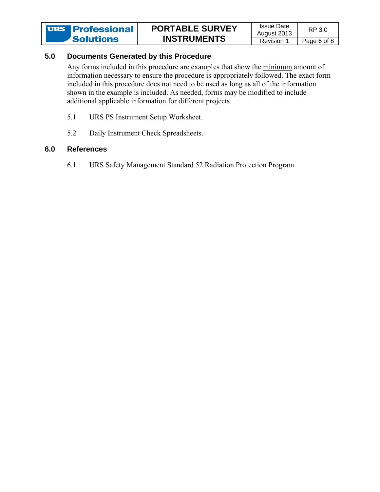#### $5.0$ **Documents Generated by this Procedure**

Any forms included in this procedure are examples that show the minimum amount of information necessary to ensure the procedure is appropriately followed. The exact form included in this procedure does not need to be used as long as all of the information shown in the example is included. As needed, forms may be modified to include additional applicable information for different projects.

- URS PS Instrument Setup Worksheet.  $5.1$
- 5.2 Daily Instrument Check Spreadsheets.

#### $6.0$ **References**

6.1 URS Safety Management Standard 52 Radiation Protection Program.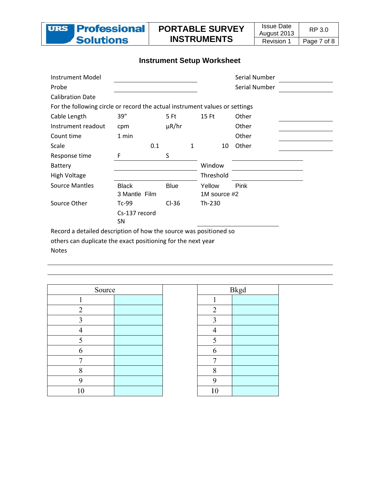

## **Instrument Setup Worksheet**

| <b>Instrument Model</b>                                                     |               |             |              | Serial Number |  |
|-----------------------------------------------------------------------------|---------------|-------------|--------------|---------------|--|
| Probe                                                                       |               |             |              | Serial Number |  |
| <b>Calibration Date</b>                                                     |               |             |              |               |  |
| For the following circle or record the actual instrument values or settings |               |             |              |               |  |
| Cable Length                                                                | 39"           | 5 Ft        | 15 Ft        | Other         |  |
| Instrument readout                                                          | cpm           | $\mu$ R/hr  |              | Other         |  |
| Count time                                                                  | 1 min         |             |              | Other         |  |
| Scale                                                                       | 0.1           | 1           | 10           | Other         |  |
| Response time                                                               | F             | S           |              |               |  |
| <b>Battery</b>                                                              |               |             | Window       |               |  |
| High Voltage                                                                |               |             | Threshold    |               |  |
| <b>Source Mantles</b>                                                       | <b>Black</b>  | <b>Blue</b> | Yellow       | Pink          |  |
|                                                                             | 3 Mantle Film |             | 1M source #2 |               |  |
| Source Other                                                                | $Tc-99$       | $Cl-36$     | Th-230       |               |  |
|                                                                             | Cs-137 record |             |              |               |  |
|                                                                             | <b>SN</b>     |             |              |               |  |
| Record a detailed description of how the source was positioned so           |               |             |              |               |  |

others can duplicate the exact positioning for the next year

**Notes** 

| Source         |  |
|----------------|--|
| 1              |  |
| $\overline{2}$ |  |
| $\overline{3}$ |  |
| $\overline{4}$ |  |
| 5              |  |
| 6              |  |
| 7              |  |
| 8              |  |
| 9              |  |
| 10             |  |

|                         | <b>Bkgd</b> |  |
|-------------------------|-------------|--|
| 1                       |             |  |
| $\overline{c}$          |             |  |
| $\overline{\mathbf{3}}$ |             |  |
| $\overline{4}$          |             |  |
| $\overline{\mathbf{5}}$ |             |  |
| $\overline{6}$          |             |  |
| 7                       |             |  |
| 8                       |             |  |
| $\overline{9}$          |             |  |
| 10                      |             |  |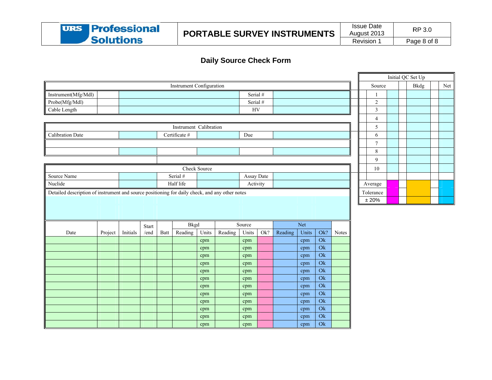

### **Daily So ource Check F Form**

|                                                                                                |         |          |       |      |                          |              |         |            |     |         |       |               |       |                |  | Initial QC Set Up |     |
|------------------------------------------------------------------------------------------------|---------|----------|-------|------|--------------------------|--------------|---------|------------|-----|---------|-------|---------------|-------|----------------|--|-------------------|-----|
|                                                                                                |         |          |       |      | Instrument Configuration |              |         |            |     |         |       |               |       | Source         |  | <b>Bkdg</b>       | Net |
| Instrument(Mfg/Mdl)                                                                            |         |          |       |      |                          |              |         | Serial #   |     |         |       |               |       |                |  |                   |     |
| Probe(Mfg/Mdl)                                                                                 |         |          |       |      |                          |              |         | Serial #   |     |         |       |               |       | $\overline{2}$ |  |                   |     |
| Cable Length                                                                                   |         |          |       |      |                          |              |         | ${\rm HV}$ |     |         |       |               |       | $\overline{3}$ |  |                   |     |
|                                                                                                |         |          |       |      |                          |              |         |            |     |         |       |               |       | $\overline{4}$ |  |                   |     |
|                                                                                                |         |          |       |      | Instrument Calibration   |              |         |            |     |         |       |               |       | 5              |  |                   |     |
| Calibration Date                                                                               |         |          |       |      | Certificate #            |              |         | Due        |     |         |       |               |       | 6              |  |                   |     |
|                                                                                                |         |          |       |      |                          |              |         |            |     |         |       |               |       | $\tau$         |  |                   |     |
|                                                                                                |         |          |       |      |                          |              |         |            |     |         |       |               |       | 8              |  |                   |     |
|                                                                                                |         |          |       |      |                          |              |         |            |     |         |       |               |       | 9              |  |                   |     |
|                                                                                                |         |          |       |      |                          | Check Source |         |            |     |         |       |               |       | $10\,$         |  |                   |     |
| Source Name                                                                                    |         |          |       |      | Serial #                 |              |         | Assay Date |     |         |       |               |       |                |  |                   |     |
| Nuclide                                                                                        |         |          |       |      | Half life                |              |         | Activity   |     |         |       |               |       | Average        |  |                   |     |
| Detailed description of instrument and source positioning for daily check, and any other notes |         |          |       |      |                          |              |         |            |     |         |       |               |       | Tolerance      |  |                   |     |
|                                                                                                |         |          |       |      |                          |              |         |            |     |         |       |               |       | $\pm\,20\%$    |  |                   |     |
|                                                                                                |         |          |       |      |                          |              |         |            |     |         |       |               |       |                |  |                   |     |
|                                                                                                |         |          |       |      |                          |              |         |            |     |         |       |               |       |                |  |                   |     |
|                                                                                                |         |          | Start |      | <b>Bkgd</b>              |              |         | Source     |     |         | Net   |               |       |                |  |                   |     |
| Date                                                                                           | Project | Initials | /end  | Batt | Reading                  | Units        | Reading | Units      | Ok? | Reading | Units | Ok?           | Notes |                |  |                   |     |
|                                                                                                |         |          |       |      |                          | cpm          |         | cpm        |     |         | cpm   | $\mathrm{Ok}$ |       |                |  |                   |     |
|                                                                                                |         |          |       |      |                          | cpm          |         | cpm        |     |         | cpm   | $\mathrm{Ok}$ |       |                |  |                   |     |
|                                                                                                |         |          |       |      |                          | cpm          |         | cpm        |     |         | cpm   | Ok            |       |                |  |                   |     |
|                                                                                                |         |          |       |      |                          | cpm          |         | cpm        |     |         | cpm   | $\mathrm{Ok}$ |       |                |  |                   |     |
|                                                                                                |         |          |       |      |                          | cpm          |         | cpm        |     |         | cpm   | $\mathrm{Ok}$ |       |                |  |                   |     |
|                                                                                                |         |          |       |      |                          | cpm          |         | cpm        |     |         | cpm   | $\mathrm{Ok}$ |       |                |  |                   |     |
|                                                                                                |         |          |       |      |                          | cpm          |         | cpm        |     |         | cpm   | Ok            |       |                |  |                   |     |
|                                                                                                |         |          |       |      |                          | cpm          |         | cpm        |     |         | cpm   | $\mathrm{Ok}$ |       |                |  |                   |     |
|                                                                                                |         |          |       |      |                          | cpm          |         | cpm        |     |         | cpm   | $\mathrm{Ok}$ |       |                |  |                   |     |
|                                                                                                |         |          |       |      |                          | cpm          |         | cpm        |     |         | cpm   | $\mathrm{Ok}$ |       |                |  |                   |     |
|                                                                                                |         |          |       |      |                          | cpm          |         | cpm        |     |         | cpm   | Ok            |       |                |  |                   |     |
|                                                                                                |         |          |       |      |                          | cpm          |         | cpm        |     |         | cpm   | $\mathrm{Ok}$ |       |                |  |                   |     |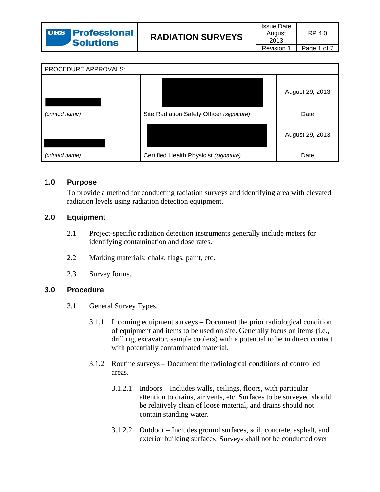| PROCEDURE APPROVALS: |                                           |                 |
|----------------------|-------------------------------------------|-----------------|
|                      |                                           | August 29, 2013 |
| (printed name)       | Site Radiation Safety Officer (signature) | Date            |
|                      |                                           | August 29, 2013 |
| (printed name)       | Certified Health Physicist (signature)    | Date            |

#### $1.0$ **Purpose**

To provide a method for conducting radiation surveys and identifying area with elevated radiation levels using radiation detection equipment.

#### $2.0$ **Equipment**

- $2.1$ Project-specific radiation detection instruments generally include meters for identifying contamination and dose rates.
- $2.2^{\circ}$ Marking materials: chalk, flags, paint, etc.
- $2.3$ Survey forms.

#### $3.0$ **Procedure**

- $3.1$ General Survey Types.
	- Incoming equipment surveys Document the prior radiological condition  $3.1.1$ of equipment and items to be used on site. Generally focus on items (i.e., drill rig, excavator, sample coolers) with a potential to be in direct contact with potentially contaminated material.
	- $3.1.2$ Routine surveys – Document the radiological conditions of controlled areas.
		- Indoors Includes walls, ceilings, floors, with particular  $3.1.2.1$ attention to drains, air vents, etc. Surfaces to be surveyed should be relatively clean of loose material, and drains should not contain standing water.
		- 3.1.2.2 Outdoor Includes ground surfaces, soil, concrete, asphalt, and exterior building surfaces. Surveys shall not be conducted over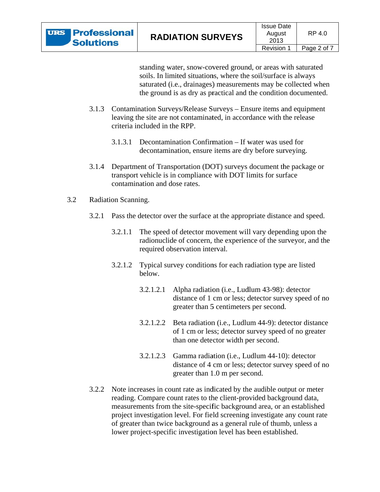standing water, snow-covered ground, or areas with saturated soils. In limited situations, where the soil/surface is always saturated (i.e., drainages) measurements may be collected when the ground is as dry as practical and the condition documented.

- $3.1.3$ Contamination Surveys/Release Surveys – Ensure items and equipment leaving the site are not contaminated, in accordance with the release criteria included in the RPP.
	- 3.1.3.1 Decontamination Confirmation If water was used for decontamination, ensure items are dry before surveying.
- Department of Transportation (DOT) surveys document the package or  $3.1.4$ transport vehicle is in compliance with DOT limits for surface contamination and dose rates.
- $3.2$ Radiation Scanning.
	- 3.2.1 Pass the detector over the surface at the appropriate distance and speed.
		- $3.2.1.1$ The speed of detector movement will vary depending upon the radionuclide of concern, the experience of the surveyor, and the required observation interval.
		- $3.2.1.2$ Typical survey conditions for each radiation type are listed below.
			- Alpha radiation (i.e., Ludlum 43-98): detector  $3.2.1.2.1$ distance of 1 cm or less; detector survey speed of no greater than 5 centimeters per second.
			- $3.2.1.2.2$ Beta radiation (i.e., Ludlum 44-9): detector distance of 1 cm or less; detector survey speed of no greater than one detector width per second.
			- $3.2.1.2.3$ Gamma radiation (i.e., Ludlum 44-10): detector distance of 4 cm or less; detector survey speed of no greater than 1.0 m per second.
	- 3.2.2 Note increases in count rate as indicated by the audible output or meter reading. Compare count rates to the client-provided background data, measurements from the site-specific background area, or an established project investigation level. For field screening investigate any count rate of greater than twice background as a general rule of thumb, unless a lower project-specific investigation level has been established.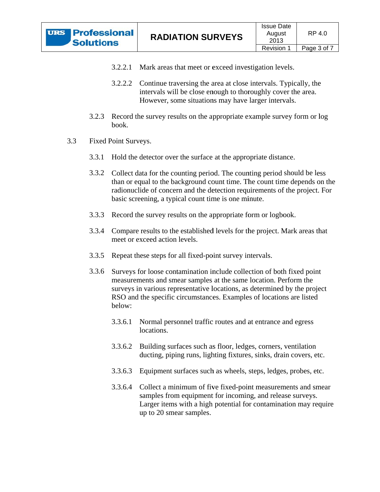- 3.2.2.1 Mark areas that meet or exceed investigation levels.
- 3.2.2.2 Continue traversing the area at close intervals. Typically, the intervals will be close enough to thoroughly cover the area. However, some situations may have larger intervals.
- $3.2.3$ Record the survey results on the appropriate example survey form or log  $book$
- $3.3$ Fixed Point Surveys.
	- 3.3.1 Hold the detector over the surface at the appropriate distance.
	- Collect data for the counting period. The counting period should be less 3.3.2 than or equal to the background count time. The count time depends on the radionuclide of concern and the detection requirements of the project. For basic screening, a typical count time is one minute.
	- $3.3.3$ Record the survey results on the appropriate form or logbook.
	- Compare results to the established levels for the project. Mark areas that 3.3.4 meet or exceed action levels.
	- $3.3.5$ Repeat these steps for all fixed-point survey intervals.
	- $3.3.6$ Surveys for loose contamination include collection of both fixed point measurements and smear samples at the same location. Perform the surveys in various representative locations, as determined by the project RSO and the specific circumstances. Examples of locations are listed helow:
		- $3.3.6.1$ Normal personnel traffic routes and at entrance and egress locations.
		- 3.3.6.2 Building surfaces such as floor, ledges, corners, ventilation ducting, piping runs, lighting fixtures, sinks, drain covers, etc.
		- $3.3.6.3$ Equipment surfaces such as wheels, steps, ledges, probes, etc.
		- 3.3.6.4 Collect a minimum of five fixed-point measurements and smear samples from equipment for incoming, and release surveys. Larger items with a high potential for contamination may require up to 20 smear samples.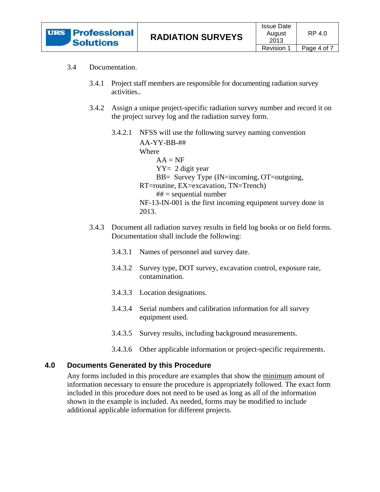

#### $3.4$ Documentation.

- $3.4.1$ Project staff members are responsible for documenting radiation survey activities..
- $3.4.2$ Assign a unique project-specific radiation survey number and record it on the project survey log and the radiation survey form.
	- 3.4.2.1 NFSS will use the following survey naming convention  $AA-YY-BB-##$ 
		- Where  $AA = NF$  $YY = 2$  digit year BB= Survey Type (IN=incoming, OT=outgoing, RT=routine, EX=excavation, TN=Trench)  $## =$  sequential number NF-13-IN-001 is the first incoming equipment survey done in 2013.
- 3.4.3 Document all radiation survey results in field log books or on field forms. Documentation shall include the following:
	- 3.4.3.1 Names of personnel and survey date.
	- 3.4.3.2 Survey type, DOT survey, excavation control, exposure rate, contamination.
	- 3.4.3.3 Location designations.
	- 3.4.3.4 Serial numbers and calibration information for all survey equipment used.
	- 3.4.3.5 Survey results, including background measurements.
	- 3.4.3.6 Other applicable information or project-specific requirements.

#### **Documents Generated by this Procedure** 4.0

Any forms included in this procedure are examples that show the minimum amount of information necessary to ensure the procedure is appropriately followed. The exact form included in this procedure does not need to be used as long as all of the information shown in the example is included. As needed, forms may be modified to include additional applicable information for different projects.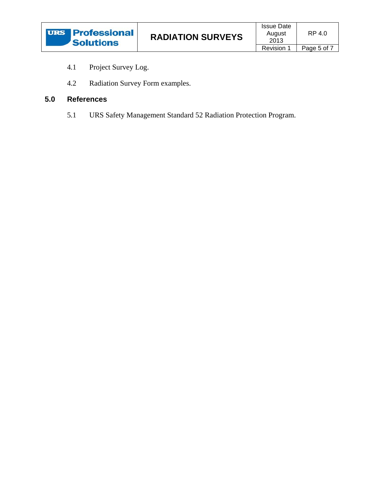- $4.1$ Project Survey Log.
- $4.2$ Radiation Survey Form examples.

#### $5.0$ **References**

5.1 URS Safety Management Standard 52 Radiation Protection Program.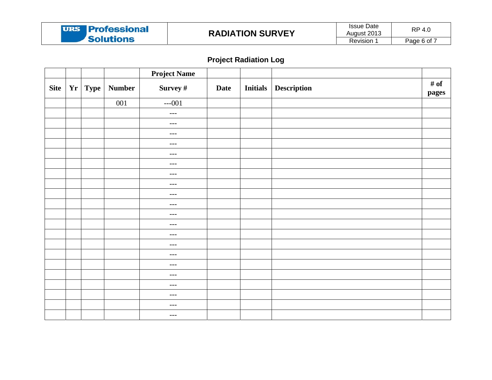

# **Project Radiation Log**

|             |           |               | <b>Project Name</b> |             |                 |                    |               |
|-------------|-----------|---------------|---------------------|-------------|-----------------|--------------------|---------------|
| <b>Site</b> | $Yr$ Type | <b>Number</b> | Survey #            | <b>Date</b> | <b>Initials</b> | <b>Description</b> | # of<br>pages |
|             |           | 001           | $--001$             |             |                 |                    |               |
|             |           |               | $---$               |             |                 |                    |               |
|             |           |               | $---$               |             |                 |                    |               |
|             |           |               | $---$               |             |                 |                    |               |
|             |           |               | $---$               |             |                 |                    |               |
|             |           |               | $---$               |             |                 |                    |               |
|             |           |               | $--$                |             |                 |                    |               |
|             |           |               | $---$               |             |                 |                    |               |
|             |           |               | $--$                |             |                 |                    |               |
|             |           |               | $--$                |             |                 |                    |               |
|             |           |               | $---$               |             |                 |                    |               |
|             |           |               | $---$               |             |                 |                    |               |
|             |           |               | $---$               |             |                 |                    |               |
|             |           |               | $--$                |             |                 |                    |               |
|             |           |               | $---$               |             |                 |                    |               |
|             |           |               | $---$               |             |                 |                    |               |
|             |           |               | $--$                |             |                 |                    |               |
|             |           |               | $--$                |             |                 |                    |               |
|             |           |               | $---$               |             |                 |                    |               |
|             |           |               | $--$                |             |                 |                    |               |
|             |           |               | $--$                |             |                 |                    |               |
|             |           |               | $---$               |             |                 |                    |               |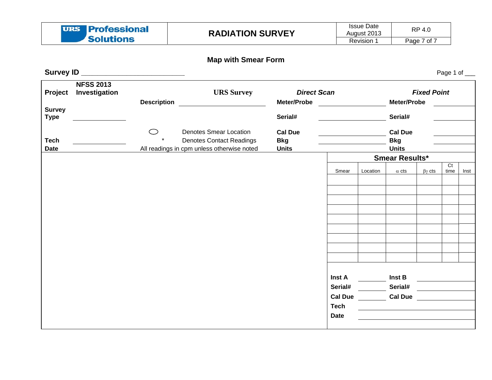| <b>URS</b> Professional | <b>RADIATION SURVEY</b> | <b>Issue Date</b><br>Auaust 2013 | RP 4.0      |
|-------------------------|-------------------------|----------------------------------|-------------|
| <b>Solutions</b>        |                         | Revision                         | Page 7 of 7 |

### **Map w with Smear For rm**

Page 1 of \_\_\_

**S Survey ID \_\_\_ \_\_\_\_\_\_\_\_\_\_\_\_ \_\_\_\_\_\_\_\_\_\_\_\_ \_**

| Project                      | <b>NFSS 2013</b><br>Investigation | <b>Description</b> | <b>URS Survey</b>                                                                                              | <b>Direct Scan</b><br>Meter/Probe            |                            |          | Meter/Probe                                  | <b>Fixed Point</b> |                |      |
|------------------------------|-----------------------------------|--------------------|----------------------------------------------------------------------------------------------------------------|----------------------------------------------|----------------------------|----------|----------------------------------------------|--------------------|----------------|------|
| <b>Survey</b><br><b>Type</b> |                                   |                    |                                                                                                                | Serial#                                      |                            |          | Serial#                                      |                    |                |      |
| <b>Tech</b><br><b>Date</b>   |                                   | ⌒                  | <b>Denotes Smear Location</b><br><b>Denotes Contact Readings</b><br>All readings in cpm unless otherwise noted | <b>Cal Due</b><br><b>Bkg</b><br><b>Units</b> |                            |          | <b>Cal Due</b><br><b>Bkg</b><br><b>Units</b> |                    |                |      |
|                              |                                   |                    |                                                                                                                |                                              |                            |          | <b>Smear Results*</b>                        |                    | C <sub>t</sub> |      |
|                              |                                   |                    |                                                                                                                |                                              | Smear                      | Location | $\alpha$ cts                                 | $\beta\gamma$ cts  | time           | Inst |
|                              |                                   |                    |                                                                                                                |                                              |                            |          |                                              |                    |                |      |
|                              |                                   |                    |                                                                                                                |                                              |                            |          |                                              |                    |                |      |
|                              |                                   |                    |                                                                                                                |                                              |                            |          |                                              |                    |                |      |
|                              |                                   |                    |                                                                                                                |                                              |                            |          |                                              |                    |                |      |
|                              |                                   |                    |                                                                                                                |                                              |                            |          |                                              |                    |                |      |
|                              |                                   |                    |                                                                                                                |                                              |                            |          |                                              |                    |                |      |
|                              |                                   |                    |                                                                                                                |                                              |                            |          |                                              |                    |                |      |
|                              |                                   |                    |                                                                                                                |                                              | Inst A                     |          | Inst B                                       |                    |                |      |
|                              |                                   |                    |                                                                                                                |                                              | Serial#                    |          | Serial#                                      |                    |                |      |
|                              |                                   |                    |                                                                                                                |                                              | <b>Cal Due</b>             |          | <b>Cal Due</b>                               |                    |                |      |
|                              |                                   |                    |                                                                                                                |                                              | <b>Tech</b><br><b>Date</b> |          |                                              |                    |                |      |
|                              |                                   |                    |                                                                                                                |                                              |                            |          |                                              |                    |                |      |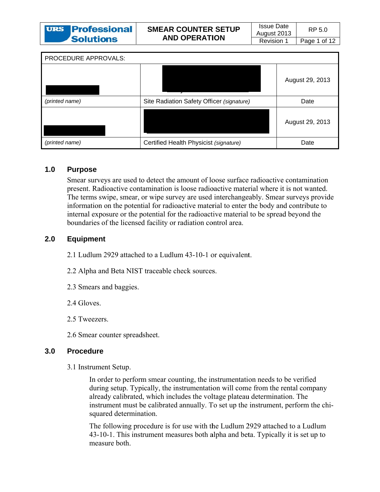| <b>URS Professional</b> |
|-------------------------|
| <b>Solutions</b>        |

| PROCEDURE APPROVALS: |                                           |                 |
|----------------------|-------------------------------------------|-----------------|
|                      |                                           | August 29, 2013 |
| (printed name)       | Site Radiation Safety Officer (signature) | Date            |
|                      |                                           | August 29, 2013 |
| (printed name)       | Certified Health Physicist (signature)    | Date            |

#### $1.0$ **Purpose**

Smear surveys are used to detect the amount of loose surface radioactive contamination present. Radioactive contamination is loose radioactive material where it is not wanted. The terms swipe, smear, or wipe survey are used interchangeably. Smear surveys provide information on the potential for radioactive material to enter the body and contribute to internal exposure or the potential for the radioactive material to be spread beyond the boundaries of the licensed facility or radiation control area.

#### $2.0$ **Equipment**

2.1 Ludlum 2929 attached to a Ludlum 43-10-1 or equivalent.

2.2 Alpha and Beta NIST traceable check sources.

- 2.3 Smears and baggies.
- 2.4 Gloves.
- 2.5 Tweezers.
- 2.6 Smear counter spreadsheet.

#### $3.0$ **Procedure**

3.1 Instrument Setup.

In order to perform smear counting, the instrumentation needs to be verified during setup. Typically, the instrumentation will come from the rental company already calibrated, which includes the voltage plateau determination. The instrument must be calibrated annually. To set up the instrument, perform the chisquared determination.

The following procedure is for use with the Ludlum 2929 attached to a Ludlum 43-10-1. This instrument measures both alpha and beta. Typically it is set up to measure both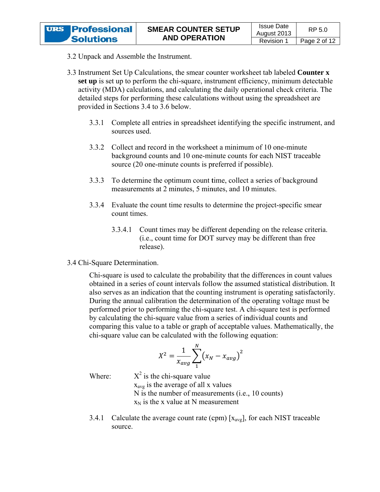- 3.2 Unpack and Assemble the Instrument.
- 3.3 Instrument Set Up Calculations, the smear counter worksheet tab labeled **Counter x** set up is set up to perform the chi-square, instrument efficiency, minimum detectable activity (MDA) calculations, and calculating the daily operational check criteria. The detailed steps for performing these calculations without using the spreadsheet are provided in Sections 3.4 to 3.6 below.
	- $3.3.1$ Complete all entries in spreadsheet identifying the specific instrument, and sources used
	- $3.3.2$ Collect and record in the worksheet a minimum of 10 one-minute background counts and 10 one-minute counts for each NIST traceable source (20 one-minute counts is preferred if possible).
	- $3.3.3$ To determine the optimum count time, collect a series of background measurements at 2 minutes. 5 minutes, and 10 minutes.
	- 3.3.4 Evaluate the count time results to determine the project-specific smear count times.
		- Count times may be different depending on the release criteria. 3.3.4.1 (i.e., count time for DOT survey may be different than free release).
- 3.4 Chi-Square Determination.

Chi-square is used to calculate the probability that the differences in count values obtained in a series of count intervals follow the assumed statistical distribution. It also serves as an indication that the counting instrument is operating satisfactorily. During the annual calibration the determination of the operating voltage must be performed prior to performing the chi-square test. A chi-square test is performed by calculating the chi-square value from a series of individual counts and comparing this value to a table or graph of acceptable values. Mathematically, the chi-square value can be calculated with the following equation:

$$
X^2 = \frac{1}{x_{avg}} \sum_{1}^{N} (x_N - x_{avg})^2
$$

Where:

 $X^2$  is the chi-square value  $x_{\text{avg}}$  is the average of all x values N is the number of measurements (i.e., 10 counts)  $x_N$  is the x value at N measurement

Calculate the average count rate (cpm)  $[x_{avg}]$ , for each NIST traceable 3.4.1 source.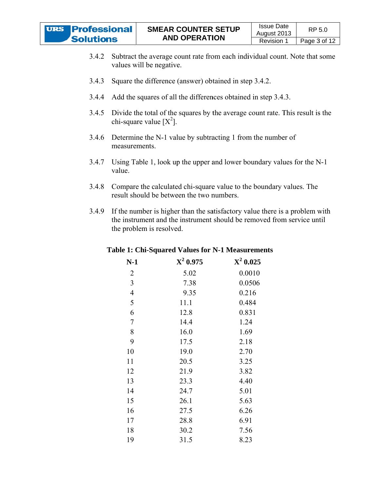

- $3.4.2$ Subtract the average count rate from each individual count. Note that some values will be negative.
- $3.4.3$ Square the difference (answer) obtained in step 3.4.2.
- $3.4.4$ Add the squares of all the differences obtained in step 3.4.3.
- Divide the total of the squares by the average count rate. This result is the  $3.4.5$ chi-square value  $[X^2]$ .
- Determine the N-1 value by subtracting 1 from the number of  $3.4.6$ measurements.
- Using Table 1, look up the upper and lower boundary values for the N-1  $3.4.7$ value.
- $3.4.8$ Compare the calculated chi-square value to the boundary values. The result should be between the two numbers.
- 3.4.9 If the number is higher than the satisfactory value there is a problem with the instrument and the instrument should be removed from service until the problem is resolved.

| $N-1$          | $X^2$ 0.975 | $X^2$ 0.025 |
|----------------|-------------|-------------|
| 2              | 5.02        | 0.0010      |
| 3              | 7.38        | 0.0506      |
| $\overline{4}$ | 9.35        | 0.216       |
| 5              | 11.1        | 0.484       |
| 6              | 12.8        | 0.831       |
| 7              | 14.4        | 1.24        |
| 8              | 16.0        | 1.69        |
| 9              | 17.5        | 2.18        |
| 10             | 19.0        | 2.70        |
| 11             | 20.5        | 3.25        |
| 12             | 21.9        | 3.82        |
| 13             | 23.3        | 4.40        |
| 14             | 24.7        | 5.01        |
| 15             | 26.1        | 5.63        |
| 16             | 27.5        | 6.26        |
| 17             | 28.8        | 6.91        |
| 18             | 30.2        | 7.56        |
| 19             | 31.5        | 8.23        |

### Table 1: Chi-Squared Values for N-1 Measurements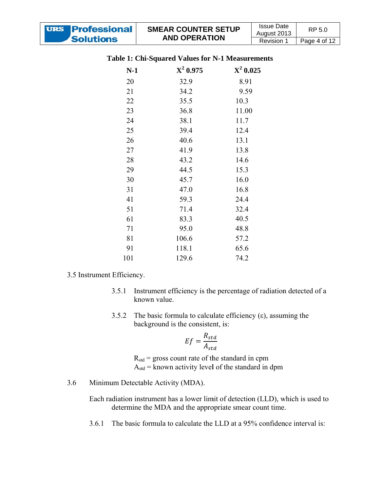| <b>URS Professional</b>                                 | <b>SMEAR COUNTER SETUP</b> | <b>Issue Date</b><br>August 2013 | RP 5.0       |  |  |  |  |  |  |  |
|---------------------------------------------------------|----------------------------|----------------------------------|--------------|--|--|--|--|--|--|--|
| <b>Solutions</b>                                        | <b>AND OPERATION</b>       | <b>Revision 1</b>                | Page 4 of 12 |  |  |  |  |  |  |  |
| <b>Table 1: Chi-Squared Values for N-1 Measurements</b> |                            |                                  |              |  |  |  |  |  |  |  |
| $N-1$                                                   | $X^2$ 0.025<br>$X^2$ 0.975 |                                  |              |  |  |  |  |  |  |  |

| $N-1$ | $X^2$ 0.975 | ${\bf X}^2$ 0.02 |
|-------|-------------|------------------|
| 20    | 32.9        | 8.91             |
| 21    | 34.2        | 9.59             |
| 22    | 35.5        | 10.3             |
| 23    | 36.8        | 11.00            |
| 24    | 38.1        | 11.7             |
| 25    | 39.4        | 12.4             |
| 26    | 40.6        | 13.1             |
| 27    | 41.9        | 13.8             |
| 28    | 43.2        | 14.6             |
| 29    | 44.5        | 15.3             |
| 30    | 45.7        | 16.0             |
| 31    | 47.0        | 16.8             |
| 41    | 59.3        | 24.4             |
| 51    | 71.4        | 32.4             |
| 61    | 83.3        | 40.5             |
| 71    | 95.0        | 48.8             |
| 81    | 106.6       | 57.2             |
| 91    | 118.1       | 65.6             |
| 101   | 129.6       | 74.2             |
|       |             |                  |

### 3.5 Instrument Efficiency.

- 3.5.1 Instrument efficiency is the percentage of radiation detected of a known value.
- 3.5.2 The basic formula to calculate efficiency ( $\varepsilon$ ), assuming the background is the consistent, is:

$$
Ef = \frac{R_{std}}{A_{std}}
$$

 $R_{std}$  = gross count rate of the standard in cpm  $A_{std}$  = known activity level of the standard in dpm

3.6 Minimum Detectable Activity (MDA).

> Each radiation instrument has a lower limit of detection (LLD), which is used to determine the MDA and the appropriate smear count time.

3.6.1 The basic formula to calculate the LLD at a 95% confidence interval is: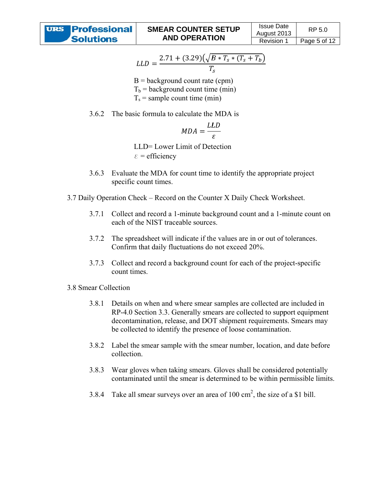$$
LLD = \frac{2.71 + (3.29)(\sqrt{B * T_s * (T_s + T_b)}}{T_s}
$$

- $B =$  background count rate (cpm)  $T<sub>b</sub>$  = background count time (min)  $T_s$  = sample count time (min)
- 3.6.2 The basic formula to calculate the MDA is

$$
MDA = \frac{LLD}{\varepsilon}
$$

LLD= Lower Limit of Detection  $\epsilon$  = efficiency

- 3.6.3 Evaluate the MDA for count time to identify the appropriate project specific count times.
- 3.7 Daily Operation Check Record on the Counter X Daily Check Worksheet.
	- $3.7.1$ Collect and record a 1-minute background count and a 1-minute count on each of the NIST traceable sources.
	- $3.7.2$ The spreadsheet will indicate if the values are in or out of tolerances. Confirm that daily fluctuations do not exceed 20%.
	- Collect and record a background count for each of the project-specific  $3.7.3$ count times.
- 3.8 Smear Collection
	- $3.8.1$ Details on when and where smear samples are collected are included in RP-4.0 Section 3.3. Generally smears are collected to support equipment decontamination, release, and DOT shipment requirements. Smears may be collected to identify the presence of loose contamination.
	- $3.8.2$ Label the smear sample with the smear number, location, and date before collection.
	- Wear gloves when taking smears. Gloves shall be considered potentially 3.8.3 contaminated until the smear is determined to be within permissible limits.
	- 3.8.4 Take all smear surveys over an area of  $100 \text{ cm}^2$ , the size of a \$1 bill.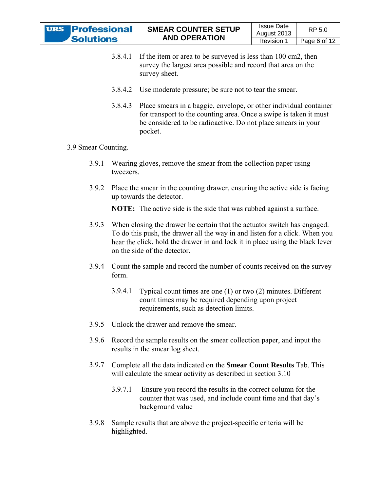| <b>URS Professional</b> |
|-------------------------|
| <b>Solutions</b>        |

- 3.8.4.1 If the item or area to be surveyed is less than 100 cm2, then survey the largest area possible and record that area on the survey sheet.
- 3.8.4.2 Use moderate pressure; be sure not to tear the smear.
- 3.8.4.3 Place smears in a baggie, envelope, or other individual container for transport to the counting area. Once a swipe is taken it must be considered to be radioactive. Do not place smears in your p pocket. r<br>cing

### 3.9 Smear Counting.

- 3.9.1 Wearing gloves, remove the smear from the collection paper using tweezers.
- 3.9.2 Place the smear in the counting drawer, ensuring the active side is fac up towards the detector.

**NOTE:** The active side is the side that was rubbed against a surface.

- 3.9.3 When closing the drawer be certain that the actuator switch has engaged. To do this push, the drawer all the way in and listen for a click. When you hear the click, hold the drawer in and lock it in place using the black lever on the side of the detector.
- 3.9.4 Count the sample and record the number of counts received on the survey form.
	- $3.9.4.1$ count times may be required depending upon project requirements, such as detection limits. Typical count times are one (1) or two (2) minutes. Different nt<br>e<br>his
- 3.9.5 Unlock the drawer and remove the smear.
- 3.9.6 Record the sample results on the smear collection paper, and input the results in the smear log sheet.
- 3.9.7 Complete all the data indicated on the **Smear Count Results** Tab. Th will calculate the smear activity as described in section 3.10
	- $3.9.7.1$ counter that was used, and include count time and that day's background value Ensure you record the results in the correct column for the
- 3.9.8 Sample results that are above the project-specific criteria will be highlighte d.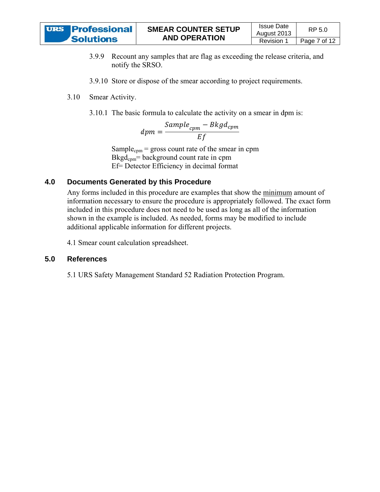

- 3.9.9 Recount any samples that are flag as exceeding the release criteria, and notify the SRSO.
- 3.9.10 Store or dispose of the smear according to project requirements.
- $3.10$ .10 Smear Activity.
	- 3.10.1 The basic formula to calculate the activity on a smear in dpm is:

$$
dpm = \frac{Sample_{cpm} - Bkgd_{cpm}}{Ef}
$$

Sample<sub>cpm</sub> = gross count rate of the smear in cpm  $Bkgd_{cpm}$ = background count rate in cpm Ef = Detector Efficiency in decimal format

#### **4.0 D Documents Generated by this Procedure**

Any forms included in this procedure are examples that show the minimum amount of information necessary to ensure the procedure is appropriately followed. The exact form included in this procedure does not need to be used as long as all of the information shown in the example is included. As needed, forms may be modified to include additional applicable information for different projects. RP 5.0<br>
1 Page 7 of<br>
e criteria, and<br>
ments.<br>
1 Page 7 of<br>
ments.<br>
1 Pm is:<br>
1 Pm is:<br>
1 Pm is:<br>
1 Pm is:<br>
1 Pm is:<br>
1 Pm is:<br>
1 Pm is:<br>
1 Pm is:<br>
1 Pm is:<br>
1 Pm is:<br>
1 Pm is:<br>
1 Pm is:<br>
1 Pm is:<br>
1 Pm is:<br>
1 Pm is:

4.1 Smear count calculation spreadsheet.

#### **5.0 R References s**

5.1 URS Safety Management Standard 52 Radiation Protection Program.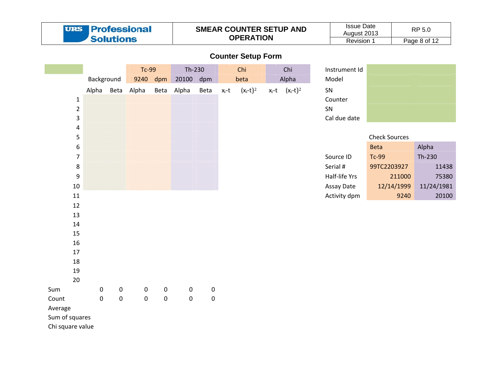|                  | <b>Professional</b><br><b>URS</b><br><b>Solutions</b> |                  |                  |                  |                  |           | <b>SMEAR COUNTER SETUP AND</b><br><b>OPERATION</b> |                           | <b>Issue Date</b><br>August 2013<br>Revision 1 |               | RP 5.0<br>Page 8 of 12 |            |
|------------------|-------------------------------------------------------|------------------|------------------|------------------|------------------|-----------|----------------------------------------------------|---------------------------|------------------------------------------------|---------------|------------------------|------------|
|                  |                                                       |                  |                  |                  |                  |           |                                                    | <b>Counter Setup Form</b> |                                                |               |                        |            |
|                  |                                                       |                  | <b>Tc-99</b>     |                  | Th-230           |           |                                                    | Chi                       | Chi                                            | Instrument Id |                        |            |
|                  | Background                                            |                  | 9240             | dpm              | 20100            | dpm       |                                                    | beta                      | Alpha                                          | Model         |                        |            |
|                  |                                                       |                  | Alpha Beta Alpha | Beta             | Alpha            | Beta      | $x_i-t$                                            | $(x_i-t)^2$               | $x_i-t$ $(x_i-t)^2$                            | SN            |                        |            |
| $\mathbf{1}$     |                                                       |                  |                  |                  |                  |           |                                                    |                           |                                                | Counter       |                        |            |
| $\mathbf 2$      |                                                       |                  |                  |                  |                  |           |                                                    |                           |                                                | SN            |                        |            |
| 3                |                                                       |                  |                  |                  |                  |           |                                                    |                           |                                                | Cal due date  |                        |            |
| $\pmb{4}$        |                                                       |                  |                  |                  |                  |           |                                                    |                           |                                                |               |                        |            |
| 5                |                                                       |                  |                  |                  |                  |           |                                                    |                           |                                                |               | <b>Check Sources</b>   |            |
| 6                |                                                       |                  |                  |                  |                  |           |                                                    |                           |                                                |               | <b>Beta</b>            | Alpha      |
| $\overline{7}$   |                                                       |                  |                  |                  |                  |           |                                                    |                           |                                                | Source ID     | <b>Tc-99</b>           | Th-230     |
| 8                |                                                       |                  |                  |                  |                  |           |                                                    |                           |                                                | Serial #      | 99TC2203927            | 11438      |
| $\boldsymbol{9}$ |                                                       |                  |                  |                  |                  |           |                                                    |                           |                                                | Half-life Yrs | 211000                 | 75380      |
| $10\,$           |                                                       |                  |                  |                  |                  |           |                                                    |                           |                                                | Assay Date    | 12/14/1999             | 11/24/1981 |
| 11               |                                                       |                  |                  |                  |                  |           |                                                    |                           |                                                | Activity dpm  | 9240                   | 20100      |
| 12               |                                                       |                  |                  |                  |                  |           |                                                    |                           |                                                |               |                        |            |
| 13               |                                                       |                  |                  |                  |                  |           |                                                    |                           |                                                |               |                        |            |
| 14               |                                                       |                  |                  |                  |                  |           |                                                    |                           |                                                |               |                        |            |
| 15               |                                                       |                  |                  |                  |                  |           |                                                    |                           |                                                |               |                        |            |
| 16<br>17         |                                                       |                  |                  |                  |                  |           |                                                    |                           |                                                |               |                        |            |
| 18               |                                                       |                  |                  |                  |                  |           |                                                    |                           |                                                |               |                        |            |
| 19               |                                                       |                  |                  |                  |                  |           |                                                    |                           |                                                |               |                        |            |
| 20               |                                                       |                  |                  |                  |                  |           |                                                    |                           |                                                |               |                        |            |
| Sum              | $\mathbf 0$                                           | $\boldsymbol{0}$ | $\boldsymbol{0}$ | $\boldsymbol{0}$ | $\boldsymbol{0}$ | $\pmb{0}$ |                                                    |                           |                                                |               |                        |            |
| Count            | $\mathbf 0$                                           | $\mathbf 0$      | $\mathbf 0$      | $\bf 0$          | $\mathbf 0$      | $\pmb{0}$ |                                                    |                           |                                                |               |                        |            |
| Average          |                                                       |                  |                  |                  |                  |           |                                                    |                           |                                                |               |                        |            |
| Sum of squares   |                                                       |                  |                  |                  |                  |           |                                                    |                           |                                                |               |                        |            |
| Chi square value |                                                       |                  |                  |                  |                  |           |                                                    |                           |                                                |               |                        |            |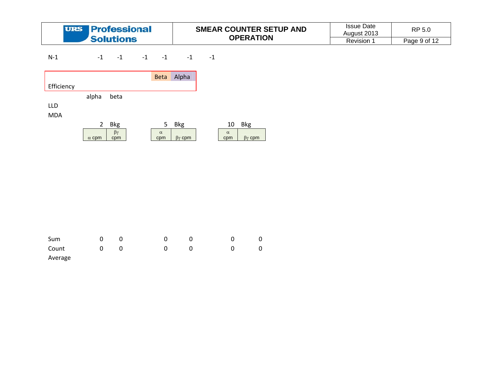| <b>URS Professional</b> | <b>SMEAR COUNTER SETUP AND</b> | <b>Issue Date</b><br>Auaust 2013 | RP 5.0       |
|-------------------------|--------------------------------|----------------------------------|--------------|
| <b>Solutions</b>        | <b>OPERATION</b>               | Revision                         | Page 9 of 12 |

N‐1  $-1$   $-1$  $-1$   $-1$  $-1$   $-1$ 

|            |              |                      | <b>Beta</b>     | Alpha             |                 |                   |
|------------|--------------|----------------------|-----------------|-------------------|-----------------|-------------------|
| Efficiency |              |                      |                 |                   |                 |                   |
|            | alpha        | beta                 |                 |                   |                 |                   |
| LLD        |              |                      |                 |                   |                 |                   |
| <b>MDA</b> |              |                      |                 |                   |                 |                   |
|            | 2            | Bkg                  | 5               | <b>Bkg</b>        | 10              | <b>Bkg</b>        |
|            | $\alpha$ cpm | $\beta\gamma$<br>cpm | $\alpha$<br>cpm | $\beta\gamma$ cpm | $\alpha$<br>cpm | $\beta\gamma$ cpm |

| Sum     |   | $\overline{\mathbf{0}}$ |              |  |  |
|---------|---|-------------------------|--------------|--|--|
| Count   | 0 | 0                       | <sup>0</sup> |  |  |
| Average |   |                         |              |  |  |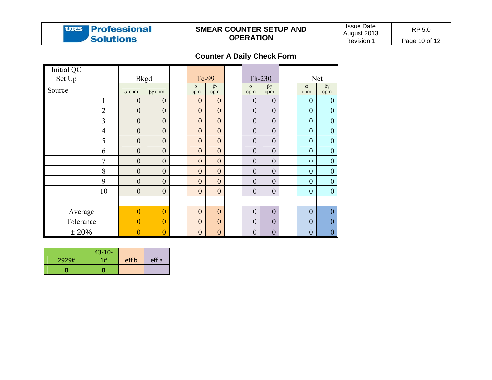

### **SMEAR C OUNTER SET TUP AND O OPERATION**

Issue Date August 2 Revision <sup>210</sup><br>013 | R n 1 Page 10 of 12 P 5.0

**Counter A A Daily Check Form** 

| Initial QC<br>Set Up |                | <b>Bkgd</b>      |                   | Tc-99            |                      | Th-230           |                      |                  | <b>Net</b>           |
|----------------------|----------------|------------------|-------------------|------------------|----------------------|------------------|----------------------|------------------|----------------------|
|                      |                |                  |                   |                  |                      |                  |                      |                  |                      |
| Source               |                | $\alpha$ cpm     | $\beta\gamma$ cpm | $\alpha$<br>cpm  | $\beta\gamma$<br>cpm | $\alpha$<br>cpm  | $\beta\gamma$<br>cpm | $\alpha$<br>cpm  | $\beta\gamma$<br>cpm |
|                      |                | $\boldsymbol{0}$ | $\boldsymbol{0}$  | $\mathbf{0}$     | $\mathbf{0}$         | $\theta$         | $\mathbf{0}$         | $\mathbf{0}$     | $\theta$             |
|                      | $\overline{2}$ | $\overline{0}$   | $\boldsymbol{0}$  | $\mathbf{0}$     | $\mathbf{0}$         | $\boldsymbol{0}$ | $\mathbf{0}$         | $\mathbf{0}$     | $\mathbf{0}$         |
|                      | 3              | $\mathbf{0}$     | $\boldsymbol{0}$  | $\mathbf{0}$     | $\mathbf{0}$         | $\mathbf{0}$     | $\mathbf{0}$         | $\mathbf{0}$     | $\mathbf{0}$         |
|                      | $\overline{4}$ | $\overline{0}$   | $\mathbf{0}$      | $\mathbf{0}$     | $\mathbf{0}$         | $\mathbf{0}$     | $\mathbf{0}$         | $\mathbf{0}$     | $\boldsymbol{0}$     |
|                      | 5              | $\boldsymbol{0}$ | $\boldsymbol{0}$  | $\boldsymbol{0}$ | $\boldsymbol{0}$     | $\boldsymbol{0}$ | $\boldsymbol{0}$     | $\boldsymbol{0}$ | $\boldsymbol{0}$     |
|                      | 6              | $\overline{0}$   | $\boldsymbol{0}$  | $\mathbf{0}$     | $\mathbf{0}$         | $\mathbf{0}$     | $\mathbf{0}$         | $\mathbf{0}$     | $\mathbf{0}$         |
|                      | $\overline{7}$ | $\mathbf{0}$     | $\mathbf{0}$      | $\mathbf{0}$     | $\mathbf{0}$         | $\boldsymbol{0}$ | $\mathbf{0}$         | $\mathbf{0}$     | $\mathbf{0}$         |
|                      | 8              | $\mathbf{0}$     | $\boldsymbol{0}$  | $\mathbf{0}$     | $\mathbf{0}$         | $\mathbf{0}$     | $\mathbf{0}$         | $\mathbf{0}$     | $\mathbf{0}$         |
|                      | 9              | $\overline{0}$   | $\boldsymbol{0}$  | $\mathbf{0}$     | $\boldsymbol{0}$     | $\mathbf{0}$     | $\boldsymbol{0}$     | $\mathbf{0}$     | $\boldsymbol{0}$     |
|                      | 10             | $\overline{0}$   | $\boldsymbol{0}$  | $\mathbf{0}$     | $\boldsymbol{0}$     | $\mathbf{0}$     | $\boldsymbol{0}$     | $\mathbf{0}$     | $\boldsymbol{0}$     |
|                      |                |                  |                   |                  |                      |                  |                      |                  |                      |
| Average              |                | $\boldsymbol{0}$ | $\boldsymbol{0}$  | $\mathbf{0}$     | $\mathbf{0}$         | $\mathbf{0}$     | $\boldsymbol{0}$     | $\mathbf{0}$     | $\boldsymbol{0}$     |
| Tolerance            |                | $\overline{0}$   | $\overline{0}$    | $\mathbf{0}$     | $\mathbf{0}$         | $\mathbf{0}$     | $\overline{0}$       | $\mathbf{0}$     | $\mathbf{0}$         |
| ±20%                 |                | $\boldsymbol{0}$ | $\boldsymbol{0}$  | $\boldsymbol{0}$ | $\boldsymbol{0}$     | $\boldsymbol{0}$ | $\boldsymbol{0}$     | $\mathbf{0}$     | $\mathbf{0}$         |

|       | $43 - 10 -$ |       |       |
|-------|-------------|-------|-------|
| 2929# | 1#          | eff b | eff a |
|       |             |       |       |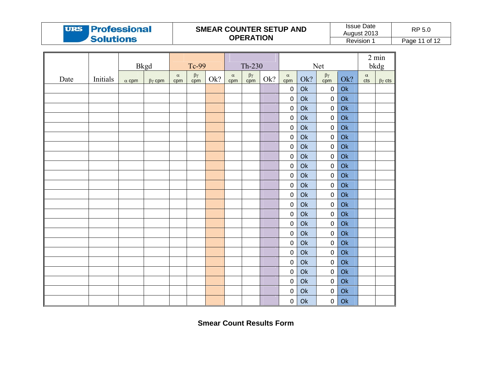# **URS Professional Solutions**

### **SMEAR C OUNTER SET TUP AND O OPERATION**

Issue Date August 2 Revision <sup>210</sup><br>013 | R RP 5.0

n 1 Page 11 of 12

|      |          | <b>Bkgd</b>  |                   |                 | Tc-99                      |     | Net<br>Th-230   |                                   |     |                  |                |                  |                |                 |                           |  |
|------|----------|--------------|-------------------|-----------------|----------------------------|-----|-----------------|-----------------------------------|-----|------------------|----------------|------------------|----------------|-----------------|---------------------------|--|
| Date | Initials | $\alpha$ cpm | $\beta\gamma$ cpm | $\alpha$<br>cpm | $\frac{\beta \gamma}{cpm}$ | Ok? | $\alpha$<br>cpm | $\frac{\beta \gamma}{\text{cpm}}$ | Ok? | $\alpha$<br>cpm  | Ok?            | $βγ$<br>cpm      | Ok?            | $\alpha$<br>cts | bkdg<br>$\beta\gamma$ cts |  |
|      |          |              |                   |                 |                            |     |                 |                                   |     | $\boldsymbol{0}$ | $\mathsf{Ok}$  | $\mathbf 0$      | O <sub>k</sub> |                 |                           |  |
|      |          |              |                   |                 |                            |     |                 |                                   |     | $\boldsymbol{0}$ | Ok             | $\pmb{0}$        | Ok             |                 |                           |  |
|      |          |              |                   |                 |                            |     |                 |                                   |     | $\boldsymbol{0}$ | O <sub>k</sub> | $\pmb{0}$        | $\mathsf{Ok}$  |                 |                           |  |
|      |          |              |                   |                 |                            |     |                 |                                   |     | $\pmb{0}$        | Ok             | $\pmb{0}$        | $\mathsf{Ok}$  |                 |                           |  |
|      |          |              |                   |                 |                            |     |                 |                                   |     | $\boldsymbol{0}$ | Ok             | $\mathbf 0$      | $\mathsf{Ok}$  |                 |                           |  |
|      |          |              |                   |                 |                            |     |                 |                                   |     | $\pmb{0}$        | Ok             | $\pmb{0}$        | $\mathsf{Ok}$  |                 |                           |  |
|      |          |              |                   |                 |                            |     |                 |                                   |     | $\boldsymbol{0}$ | Ok             | $\pmb{0}$        | O <sub>k</sub> |                 |                           |  |
|      |          |              |                   |                 |                            |     |                 |                                   |     | $\boldsymbol{0}$ | O <sub>k</sub> | $\pmb{0}$        | $\mathsf{Ok}$  |                 |                           |  |
|      |          |              |                   |                 |                            |     |                 |                                   |     | $\pmb{0}$        | Ok             | $\boldsymbol{0}$ | $\mathsf{Ok}$  |                 |                           |  |
|      |          |              |                   |                 |                            |     |                 |                                   |     | $\pmb{0}$        | O <sub>k</sub> | $\pmb{0}$        | $\mathsf{Ok}$  |                 |                           |  |
|      |          |              |                   |                 |                            |     |                 |                                   |     | $\pmb{0}$        | Ok             | $\pmb{0}$        | $\mathsf{Ok}$  |                 |                           |  |
|      |          |              |                   |                 |                            |     |                 |                                   |     | $\boldsymbol{0}$ | O <sub>k</sub> | $\pmb{0}$        | O <sub>k</sub> |                 |                           |  |
|      |          |              |                   |                 |                            |     |                 |                                   |     | $\boldsymbol{0}$ | O <sub>k</sub> | $\pmb{0}$        | O <sub>k</sub> |                 |                           |  |
|      |          |              |                   |                 |                            |     |                 |                                   |     | $\pmb{0}$        | Ok             | $\pmb{0}$        | $\mathsf{Ok}$  |                 |                           |  |
|      |          |              |                   |                 |                            |     |                 |                                   |     | $\boldsymbol{0}$ | Ok             | $\pmb{0}$        | $\mathsf{Ok}$  |                 |                           |  |
|      |          |              |                   |                 |                            |     |                 |                                   |     | $\pmb{0}$        | Ok             | $\pmb{0}$        | O <sub>k</sub> |                 |                           |  |
|      |          |              |                   |                 |                            |     |                 |                                   |     | $\boldsymbol{0}$ | Ok             | $\boldsymbol{0}$ | Ok             |                 |                           |  |
|      |          |              |                   |                 |                            |     |                 |                                   |     | $\boldsymbol{0}$ | Ok             | $\pmb{0}$        | O <sub>k</sub> |                 |                           |  |
|      |          |              |                   |                 |                            |     |                 |                                   |     | $\boldsymbol{0}$ | Ok             | $\pmb{0}$        | $\mathsf{Ok}$  |                 |                           |  |
|      |          |              |                   |                 |                            |     |                 |                                   |     | $\boldsymbol{0}$ | $\mathsf{Ok}$  | $\pmb{0}$        | $\mathsf{Ok}$  |                 |                           |  |
|      |          |              |                   |                 |                            |     |                 |                                   |     | $\mathbf 0$      | Ok             | $\pmb{0}$        | $\mathsf{Ok}$  |                 |                           |  |
|      |          |              |                   |                 |                            |     |                 |                                   |     | $\boldsymbol{0}$ | Ok             | $\boldsymbol{0}$ | $\mathsf{Ok}$  |                 |                           |  |
|      |          |              |                   |                 |                            |     |                 |                                   |     | $\mathbf 0$      | Ok             | $\pmb{0}$        | $\mathsf{Ok}$  |                 |                           |  |

**Smear Coount Results Form**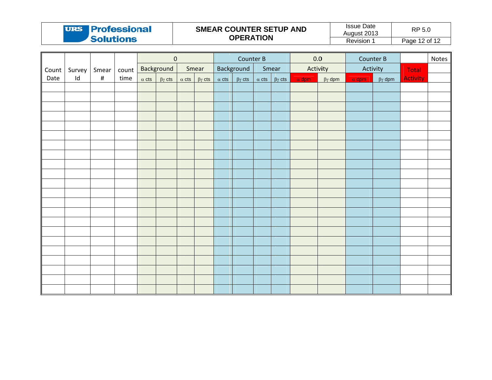| <b>URS Professional</b> | <b>SMEAR COUNTER SETUP AND</b> | <b>Issue Date</b><br>August 2013 | RP 5.0        |
|-------------------------|--------------------------------|----------------------------------|---------------|
| <b>Solutions</b>        | <b>OPERATION</b>               | <b>Revision</b>                  | Page 12 of 12 |

|       |               |                            |      | $\pmb{0}$ |                                |       | Counter B                      |              |            |       | 0.0                                              |          | Counter B                      |          |                                | Notes           |  |
|-------|---------------|----------------------------|------|-----------|--------------------------------|-------|--------------------------------|--------------|------------|-------|--------------------------------------------------|----------|--------------------------------|----------|--------------------------------|-----------------|--|
| Count | Survey        | Smear   count   Background |      |           |                                | Smear |                                |              | Background | Smear |                                                  | Activity |                                | Activity |                                | Total           |  |
| Date  | $\mathsf{Id}$ | $\#$                       | time |           | $\alpha$ cts $\beta\gamma$ cts |       | $\alpha$ cts $\beta\gamma$ cts | $\alpha$ cts |            |       | $\beta\gamma$ cts $\alpha$ cts $\beta\gamma$ cts |          | $\alpha$ dpm $\beta\gamma$ dpm |          | $\alpha$ dpm $\beta\gamma$ dpm | <b>Activity</b> |  |
|       |               |                            |      |           |                                |       |                                |              |            |       |                                                  |          |                                |          |                                |                 |  |
|       |               |                            |      |           |                                |       |                                |              |            |       |                                                  |          |                                |          |                                |                 |  |
|       |               |                            |      |           |                                |       |                                |              |            |       |                                                  |          |                                |          |                                |                 |  |
|       |               |                            |      |           |                                |       |                                |              |            |       |                                                  |          |                                |          |                                |                 |  |
|       |               |                            |      |           |                                |       |                                |              |            |       |                                                  |          |                                |          |                                |                 |  |
|       |               |                            |      |           |                                |       |                                |              |            |       |                                                  |          |                                |          |                                |                 |  |
|       |               |                            |      |           |                                |       |                                |              |            |       |                                                  |          |                                |          |                                |                 |  |
|       |               |                            |      |           |                                |       |                                |              |            |       |                                                  |          |                                |          |                                |                 |  |
|       |               |                            |      |           |                                |       |                                |              |            |       |                                                  |          |                                |          |                                |                 |  |
|       |               |                            |      |           |                                |       |                                |              |            |       |                                                  |          |                                |          |                                |                 |  |
|       |               |                            |      |           |                                |       |                                |              |            |       |                                                  |          |                                |          |                                |                 |  |
|       |               |                            |      |           |                                |       |                                |              |            |       |                                                  |          |                                |          |                                |                 |  |
|       |               |                            |      |           |                                |       |                                |              |            |       |                                                  |          |                                |          |                                |                 |  |
|       |               |                            |      |           |                                |       |                                |              |            |       |                                                  |          |                                |          |                                |                 |  |
|       |               |                            |      |           |                                |       |                                |              |            |       |                                                  |          |                                |          |                                |                 |  |
|       |               |                            |      |           |                                |       |                                |              |            |       |                                                  |          |                                |          |                                |                 |  |
|       |               |                            |      |           |                                |       |                                |              |            |       |                                                  |          |                                |          |                                |                 |  |
|       |               |                            |      |           |                                |       |                                |              |            |       |                                                  |          |                                |          |                                |                 |  |
|       |               |                            |      |           |                                |       |                                |              |            |       |                                                  |          |                                |          |                                |                 |  |
|       |               |                            |      |           |                                |       |                                |              |            |       |                                                  |          |                                |          |                                |                 |  |
|       |               |                            |      |           |                                |       |                                |              |            |       |                                                  |          |                                |          |                                |                 |  |
|       |               |                            |      |           |                                |       |                                |              |            |       |                                                  |          |                                |          |                                |                 |  |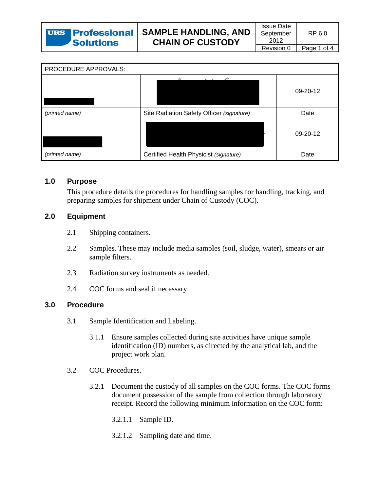| PROCEDURE APPROVALS: |                                           |            |
|----------------------|-------------------------------------------|------------|
|                      |                                           | 09-20-12   |
| (printed name)       | Site Radiation Safety Officer (signature) | Date       |
|                      |                                           | $09-20-12$ |
| (printed name)       | Certified Health Physicist (signature)    | Date       |

#### $1.0$ **Purpose**

This procedure details the procedures for handling samples for handling, tracking, and preparing samples for shipment under Chain of Custody (COC).

#### $2.0$ **Equipment**

- $2.1$ Shipping containers.
- $2.2\,$ Samples. These may include media samples (soil, sludge, water), smears or air sample filters.
- $2.3$ Radiation survey instruments as needed.
- 2.4 COC forms and seal if necessary.

#### $3.0$ **Procedure**

- $3.1$ Sample Identification and Labeling.
	- Ensure samples collected during site activities have unique sample  $3.1.1$ identification (ID) numbers, as directed by the analytical lab, and the project work plan.
- $3.2$ COC Procedures.
	- Document the custody of all samples on the COC forms. The COC forms  $3.2.1$ document possession of the sample from collection through laboratory receipt. Record the following minimum information on the COC form:
		- $3.2.1.1$ Sample ID.
		- 3.2.1.2 Sampling date and time.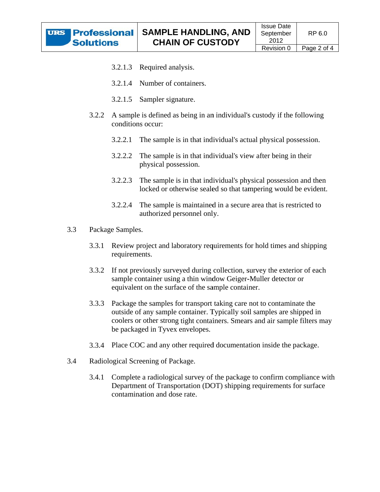- Required analysis.  $3.2.1.3$
- 3.2.1.4 Number of containers.
- $3.2.1.5$ Sampler signature.
- A sample is defined as being in an individual's custody if the following 3.2.2 conditions occur:
	- 3.2.2.1 The sample is in that individual's actual physical possession.
	- The sample is in that individual's view after being in their  $3.2.2.2$ physical possession.
	- $3.2.2.3$ The sample is in that individual's physical possession and then locked or otherwise sealed so that tampering would be evident.
	- $3.2.2.4$ The sample is maintained in a secure area that is restricted to authorized personnel only.
- $3.3$ Package Samples.
	- $3.3.1$ Review project and laboratory requirements for hold times and shipping requirements.
	- $3.3.2$ If not previously surveyed during collection, survey the exterior of each sample container using a thin window Geiger-Muller detector or equivalent on the surface of the sample container.
	- $3.3.3$ Package the samples for transport taking care not to contaminate the outside of any sample container. Typically soil samples are shipped in coolers or other strong tight containers. Smears and air sample filters may be packaged in Tyvex envelopes.
	- 3.3.4 Place COC and any other required documentation inside the package.
- $3.4$ Radiological Screening of Package.
	- 3.4.1 Complete a radiological survey of the package to confirm compliance with Department of Transportation (DOT) shipping requirements for surface contamination and dose rate.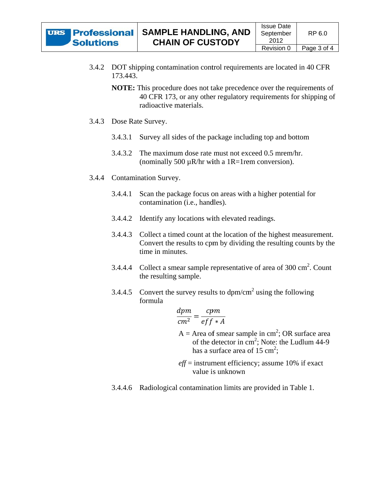- 3.4.2 DOT shipping contamination control requirements are located in 40 CFR 173.443.
	- **NOTE:** This procedure does not take precedence over the requirements of 40 CFR 173, or any other regulatory requirements for shipping of radioactive materials.
- 3.4.3 Dose Rate Survey.
	- Survey all sides of the package including top and bottom  $3.4.3.1$
	- 3.4.3.2 The maximum dose rate must not exceed 0.5 mrem/hr. (nominally 500  $\mu$ R/hr with a 1R=1 rem conversion).
- 3.4.4 Contamination Survey.
	- Scan the package focus on areas with a higher potential for  $3.4.4.1$ contamination (i.e., handles).
	- 3.4.4.2 Identify any locations with elevated readings.
	- 3.4.4.3 Collect a timed count at the location of the highest measurement. Convert the results to cpm by dividing the resulting counts by the time in minutes.
	- 3.4.4.4 Collect a smear sample representative of area of  $300 \text{ cm}^2$ . Count the resulting sample.
	- Convert the survey results to  $dpm/cm^2$  using the following 3.4.4.5 formula

$$
\frac{dpm}{cm^2} = \frac{cpm}{eff*A}
$$

- $A =$  Area of smear sample in cm<sup>2</sup>; OR surface area of the detector in cm<sup>2</sup>; Note: the Ludlum 44-9 has a surface area of 15 cm<sup>2</sup>:
- $eff$  = instrument efficiency; assume 10% if exact value is unknown
- 3.4.4.6 Radiological contamination limits are provided in Table 1.